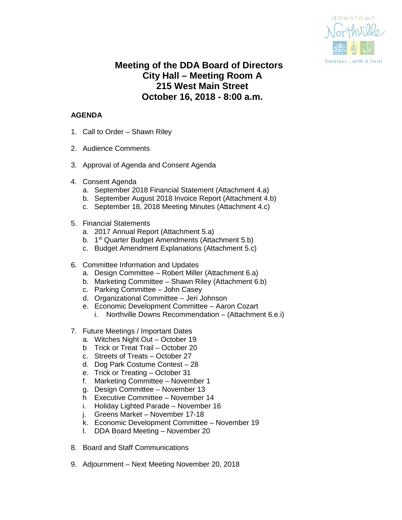

# **Meeting of the DDA Board of Directors City Hall – Meeting Room A 215 West Main Street October 16, 2018 - 8:00 a.m.**

# **AGENDA**

- 1. Call to Order Shawn Riley
- 2. Audience Comments
- 3. Approval of Agenda and Consent Agenda
- 4. Consent Agenda
	- a. September 2018 Financial Statement (Attachment 4.a)
	- b. September August 2018 Invoice Report (Attachment 4.b)
	- c. September 18, 2018 Meeting Minutes (Attachment 4.c)
- 5. Financial Statements
	- a. 2017 Annual Report (Attachment 5.a)
	- b. 1<sup>st</sup> Quarter Budget Amendments (Attachment 5.b)
	- c. Budget Amendment Explanations (Attachment 5.c)
- 6. Committee Information and Updates
	- a. Design Committee Robert Miller (Attachment 6.a)
	- b. Marketing Committee Shawn Riley (Attachment 6.b)
	- c. Parking Committee John Casey
	- d. Organizational Committee Jeri Johnson
	- e. Economic Development Committee Aaron Cozart
		- i. Northville Downs Recommendation (Attachment 6.e.i)
- 7. Future Meetings / Important Dates
	- a. Witches Night Out October 19
	- b Trick or Treat Trail October 20
	- c. Streets of Treats October 27
	- d. Dog Park Costume Contest 28
	- e. Trick or Treating October 31
	- f. Marketing Committee November 1
	- g. Design Committee November 13
	- h Executive Committee November 14
	- i. Holiday Lighted Parade November 16
	- j. Greens Market November 17-18
	- k. Economic Development Committee November 19
	- l. DDA Board Meeting November 20
- 8. Board and Staff Communications
- 9. Adjournment Next Meeting November 20, 2018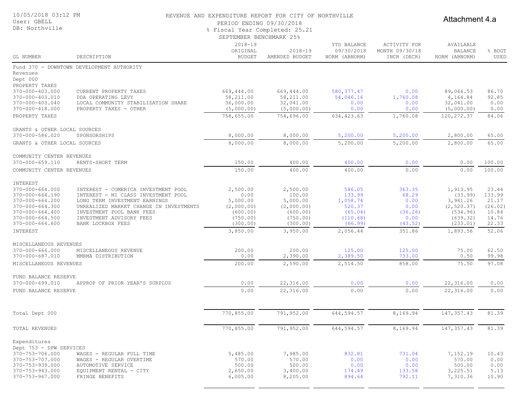| 10/05/2018 03:12 PM<br>User: GBELL<br>DB: Northville                                                                                                                              |                                                                                                                                                                                                                                      | REVENUE AND EXPENDITURE REPORT FOR CITY OF NORTHVILLE<br>PERIOD ENDING 09/30/2018<br>% Fiscal Year Completed: 25.21<br>SEPTEMBER BENCHMARK 25% |                                                                                  |                                                                          | Attachment 4.a                                                |                                                                                    |                                                                |  |
|-----------------------------------------------------------------------------------------------------------------------------------------------------------------------------------|--------------------------------------------------------------------------------------------------------------------------------------------------------------------------------------------------------------------------------------|------------------------------------------------------------------------------------------------------------------------------------------------|----------------------------------------------------------------------------------|--------------------------------------------------------------------------|---------------------------------------------------------------|------------------------------------------------------------------------------------|----------------------------------------------------------------|--|
| GL NUMBER                                                                                                                                                                         | DESCRIPTION                                                                                                                                                                                                                          | $2018 - 19$<br>ORIGINAL<br><b>BUDGET</b>                                                                                                       | $2018 - 19$<br>AMENDED BUDGET                                                    | YTD BALANCE<br>09/30/2018<br>NORM (ABNORM)                               | ACTIVITY FOR<br>MONTH 09/30/18<br>INCR (DECR)                 | AVAILABLE<br><b>BALANCE</b><br>NORM (ABNORM)                                       | % BDGT<br>USED                                                 |  |
| Revenues<br>Dept 000<br>PROPERTY TAXES                                                                                                                                            | Fund 370 - DOWNTOWN DEVELOPMENT AUTHORITY                                                                                                                                                                                            |                                                                                                                                                |                                                                                  |                                                                          |                                                               |                                                                                    |                                                                |  |
| 370-000-403.000<br>370-000-403.010<br>370-000-403.040                                                                                                                             | CURRENT PROPERTY TAXES<br>DDA OPERATING LEVY<br>LOCAL COMMUNITY STABILIZATION SHARE                                                                                                                                                  | 669,444.00<br>58,211.00<br>36,000.00                                                                                                           | 669,444.00<br>58,211.00<br>32,041.00                                             | 580, 377.47<br>54,046.16<br>0.00                                         | 0.00<br>1,760.08<br>0.00                                      | 89,066.53<br>4,164.84<br>32,041.00                                                 | 86.70<br>92.85<br>0.00                                         |  |
| 370-000-418.000<br>PROPERTY TAXES                                                                                                                                                 | PROPERTY TAXES - OTHER                                                                                                                                                                                                               | (5,000.00)<br>758,655.00                                                                                                                       | (5,000.00)<br>754,696.00                                                         | 0.00<br>634, 423.63                                                      | 0.00<br>1,760.08                                              | (5,000.00)<br>120, 272.37                                                          | 0.00<br>84.06                                                  |  |
| GRANTS & OTHER LOCAL SOURCES<br>370-000-586.020                                                                                                                                   | SPONSORSHIPS                                                                                                                                                                                                                         | 8,000.00                                                                                                                                       | 8,000.00                                                                         | 5,200.00                                                                 | 5,200.00                                                      | 2,800.00                                                                           | 65.00                                                          |  |
| GRANTS & OTHER LOCAL SOURCES                                                                                                                                                      |                                                                                                                                                                                                                                      | 8,000.00                                                                                                                                       | 8,000.00                                                                         | 5,200.00                                                                 | 5,200.00                                                      | 2,800.00                                                                           | 65.00                                                          |  |
| COMMUNITY CENTER REVENUES<br>370-000-659.110                                                                                                                                      | RENTS-SHORT TERM                                                                                                                                                                                                                     | 150.00                                                                                                                                         | 400.00                                                                           | 400.00                                                                   | 0.00                                                          | 0.00                                                                               | 100.00                                                         |  |
| COMMUNITY CENTER REVENUES                                                                                                                                                         |                                                                                                                                                                                                                                      | 150.00                                                                                                                                         | 400.00                                                                           | 400.00                                                                   | 0.00                                                          | 0.00                                                                               | 100.00                                                         |  |
| INTEREST<br>$370 - 000 - 664.000$<br>$370 - 000 - 664.190$<br>370-000-664.200<br>$370 - 000 - 664.300$<br>$370 - 000 - 664.400$<br>$370 - 000 - 664.500$<br>$370 - 000 - 664.600$ | INTEREST - COMERICA INVESTMENT POOL<br>INTEREST - MI CLASS INVESTMENT POOL<br>LONG TERM INVESTMENT EARNINGS<br>UNREALIZED MARKET CHANGE IN INVESTMENTS<br>INVESTMENT POOL BANK FEES<br>INVESTMENT ADVISORY FEES<br>BANK LOCKBOX FEES | 2,500.00<br>0.00<br>5,000.00<br>(2,000.00)<br>(600.00)<br>(750.00)<br>(300.00)                                                                 | 2,500.00<br>100.00<br>5,000.00<br>(2,000.00)<br>(600.00)<br>(750.00)<br>(300.00) | 586.05<br>133.99<br>1,058.74<br>520.37<br>(65.04)<br>(110.68)<br>(66.99) | 363.35<br>68.29<br>0.00<br>0.00<br>(36.26)<br>0.00<br>(43.52) | 1,913.95<br>(33.99)<br>3,941.26<br>(2, 520.37)<br>(534.96)<br>(639.32)<br>(233.01) | 23.44<br>133.99<br>21.17<br>(26.02)<br>10.84<br>14.76<br>22.33 |  |
| INTEREST                                                                                                                                                                          |                                                                                                                                                                                                                                      | 3,850.00                                                                                                                                       | 3,950.00                                                                         | 2,056.44                                                                 | 351.86                                                        | 1,893.56                                                                           | 52.06                                                          |  |
| MISCELLANEOUS REVENUES<br>$370 - 000 - 666.000$<br>370-000-687.010<br>MISCELLANEOUS REVENUES                                                                                      | MISCELLANEOUS REVENUE<br>MMRMA DISTRIBUTION                                                                                                                                                                                          | 200.00<br>0.00<br>200.00                                                                                                                       | 200.00<br>2,390.00<br>2,590.00                                                   | 125.00<br>2,389.50<br>2,514.50                                           | 125.00<br>733.00<br>858.00                                    | 75.00<br>0.50<br>75.50                                                             | 62.50<br>99.98<br>97.08                                        |  |
| FUND BALANCE RESERVE<br>370-000-699.010                                                                                                                                           | APPROP OF PRIOR YEAR'S SURPLUS                                                                                                                                                                                                       | 0.00                                                                                                                                           | 22,316.00                                                                        | 0.00                                                                     | 0.00                                                          | 22,316.00                                                                          | 0.00                                                           |  |
| FUND BALANCE RESERVE                                                                                                                                                              |                                                                                                                                                                                                                                      | 0.00                                                                                                                                           | 22,316.00                                                                        | 0.00                                                                     | 0.00                                                          | 22,316.00                                                                          | 0.00                                                           |  |
| Total Dept 000                                                                                                                                                                    |                                                                                                                                                                                                                                      | 770,855.00                                                                                                                                     | 791,952.00                                                                       | 644, 594.57                                                              | 8,169.94                                                      | 147, 357.43                                                                        | 81.39                                                          |  |
| TOTAL REVENUES                                                                                                                                                                    |                                                                                                                                                                                                                                      | 770,855.00                                                                                                                                     | 791,952.00                                                                       | 644,594.57                                                               | 8,169.94                                                      | 147, 357.43                                                                        | 81.39                                                          |  |
| Expenditures<br>Dept 753 - DPW SERVICES<br>370-753-706.000                                                                                                                        | WAGES - REGULAR FULL TIME                                                                                                                                                                                                            | 5,485.00                                                                                                                                       | 7,985.00                                                                         | 832.81                                                                   | 731.04                                                        | 7,152.19                                                                           | 10.43                                                          |  |
| $370 - 753 - 707.000$                                                                                                                                                             | WAGES - REGULAR OVERTIME                                                                                                                                                                                                             | 570.00                                                                                                                                         | 570.00                                                                           | 0.00                                                                     | 0.00                                                          | 570.00                                                                             | 0.00                                                           |  |

370-753-939.000 AUTOMOTIVE SERVICE 500.00 500.00 0.00 0.00 500.00 0.00 370-753-943.000 EQUIPMENT RENTAL - CITY 2,650.00 3,400.00 174.49 133.58 3,225.51 5.13 370-753-967.000 FRINGE BENEFITS 6,005.00 8,205.00 894.64 792.11 7,310.36 10.90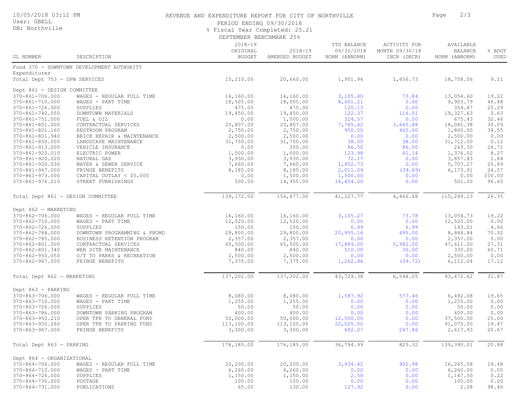## 10/05/2018 03:12 PM

#### User: GBELL DB: Northville

## REVENUE AND EXPENDITURE REPORT FOR CITY OF NORTHVILLE **FOR SAMILLE PAGE 2/3**

PERIOD ENDING 09/30/2018

% Fiscal Year Completed: 25.21

SEPTEMBER BENCHMARK 25%

| GL NUMBER                         | DESCRIPTION                               | $2018 - 19$<br>ORIGINAL<br><b>BUDGET</b> | $2018 - 19$<br>AMENDED BUDGET | YTD BALANCE<br>09/30/2018<br>NORM (ABNORM) | ACTIVITY FOR<br>MONTH 09/30/18<br>INCR (DECR) | AVAILABLE<br><b>BALANCE</b><br>NORM (ABNORM) | % BDGT<br>USED |
|-----------------------------------|-------------------------------------------|------------------------------------------|-------------------------------|--------------------------------------------|-----------------------------------------------|----------------------------------------------|----------------|
|                                   | Fund 370 - DOWNTOWN DEVELOPMENT AUTHORITY |                                          |                               |                                            |                                               |                                              |                |
| Expenditures                      |                                           |                                          |                               |                                            |                                               |                                              |                |
| Total Dept 753 - DPW SERVICES     |                                           | 15,210.00                                | 20,660.00                     | 1,901.94                                   | 1,656.73                                      | 18,758.06                                    | 9.21           |
| Dept 861 - DESIGN COMMITTEE       |                                           |                                          |                               |                                            |                                               |                                              |                |
| 370-861-706.000                   | WAGES - REGULAR FULL TIME                 | 16,160.00                                | 16,160.00                     | 3,105.40                                   | 73.84                                         | 13,054.60                                    | 19.22          |
| 370-861-710.000                   | WAGES - PART TIME                         | 18,505.00                                | 18,505.00                     | 8,601.21                                   | 0.00                                          | 9,903.79                                     | 46.48          |
| 370-861-726.000                   | SUPPLIES                                  | 475.00                                   | 475.00                        | 120.13                                     | 0.00                                          | 354.87                                       | 25.29          |
| $370 - 861 - 740.050$             | DOWNTOWN MATERIALS                        | 19,450.00                                | 19,450.00                     | 122.37                                     | 116.01                                        | 19,327.63                                    | 0.63           |
| $370 - 861 - 751.000$             | FUEL & OIL                                | 0.00                                     | 1,000.00                      | 324.57                                     | 0.00                                          | 675.43                                       | 32.46          |
| 370-861-801.000                   | CONTRACTUAL SERVICES                      | 25,807.00                                | 25,807.00                     | 7,765.62                                   | 3,665.88                                      | 18,041.38                                    | 30.09          |
| 370-861-801.160                   | RESTROOM PROGRAM                          | 2,750.00                                 | 2,750.00                      | 950.00                                     | 465.00                                        | 1,800.00                                     | 34.55          |
| 370-861-801.940                   | BRICK REPAIR & MAINTENANCE                | 2,500.00                                 | 2,500.00                      | 0.00                                       | 0.00                                          | 2,500.00                                     | 0.00           |
| 370-861-850.000                   | LANDSCAPE MAINTENANCE                     | 31,750.00                                | 31,750.00                     | 38.00                                      | 38.00                                         | 31,712.00                                    | 0.12           |
| 370-861-913.000                   | VEHICLE INSURANCE                         | 0.00                                     | 350.00                        | 86.50                                      | 86.50                                         | 263.50                                       | 24.71          |
| 370-861-920.010                   | ELECTRIC POWER                            | 1,500.00                                 | 1,500.00                      | 123.98                                     | 61.14                                         | 1,376.02                                     | 8.27           |
| $370 - 861 - 920.020$             | NATURAL GAS                               | 3,930.00                                 | 3,930.00                      | 72.17                                      | 0.00                                          | 3,857.83                                     | 1.84           |
| 370-861-920.030                   | WATER & SEWER SERVICE                     | 7,660.00                                 | 7,660.00                      | 1,952.73                                   | 0.00                                          | 5,707.27                                     | 25.49          |
| 370-861-967.000                   | FRINGE BENEFITS                           | 8,185.00                                 | 8,185.00                      | 2,011.09                                   | (39.69)                                       | 6, 173.91                                    | 24.57          |
| $370 - 861 - 973.000$             | CAPITAL OUTLAY $<$ \$5,000                | 0.00                                     | 1,500.00                      | 1,500.00                                   | 0.00                                          | 0.00                                         | 100.00         |
| 370-861-976.010                   | STREET FURNISHINGS                        | 500.00                                   | 14,955.00                     | 14,454.00                                  | 0.00                                          | 501.00                                       | 96.65          |
| Total Dept 861 - DESIGN COMMITTEE |                                           | 139,172.00                               | 156,477.00                    | 41,227.77                                  | 4,466.68                                      | 115,249.23                                   | 26.35          |
|                                   |                                           |                                          |                               |                                            |                                               |                                              |                |
| Dept 862 - MARKETING              |                                           |                                          |                               |                                            |                                               |                                              |                |
| 370-862-706.000                   | WAGES - REGULAR FULL TIME                 | 16,160.00                                | 16,160.00                     | 3,105.27                                   | 73.78                                         | 13,054.73                                    | 19.22          |
| 370-862-710.000                   | WAGES - PART TIME                         | 12,520.00                                | 12,520.00                     | 0.00                                       | 0.00                                          | 12,520.00                                    | 0.00           |
| 370-862-726.000                   | SUPPLIES                                  | 150.00                                   | 150.00                        | 6.99                                       | 6.99                                          | 143.01                                       | 4.66           |
| 370-862-784.000                   | DOWNTOWN PROGRAMMING & PROMO              | 29,800.00                                | 29,800.00                     | 20,955.16                                  | 495.00                                        | 8,844.84                                     | 70.32          |
| 370-862-785.000                   | BUSINESS RETENTION PROGRAM                | 2,357.00                                 | 2,357.00                      | 0.00                                       | 0.00                                          | 2,357.00                                     | 0.00           |
| 370-862-801.000                   | CONTRACTUAL SERVICES                      | 65,500.00                                | 65,500.00                     | 17,889.00                                  | 5,982.00                                      | 47,611.00<br>330.00                          | 27.31<br>60.71 |
| 370-862-801.340                   | WEB SITE MAINTENANCE                      | 840.00                                   | 840.00                        | 510.00                                     | 30.00                                         |                                              |                |
| $370 - 862 - 950.050$             | O/T TO PARKS & RECREATION                 | 2,500.00                                 | 2,500.00                      | 0.00                                       | 0.00                                          | 2,500.00                                     | 0.00           |
| $370 - 862 - 967.000$             | FRINGE BENEFITS                           | 7,375.00                                 | 7,375.00                      | 1,262.96                                   | (39.72)                                       | 6,112.04                                     | 17.12          |
| Total Dept 862 - MARKETING        |                                           | 137,202.00                               | 137,202.00                    | 43,729.38                                  | 6,548.05                                      | 93, 472.62                                   | 31.87          |
| Dept 863 - PARKING                |                                           |                                          |                               |                                            |                                               |                                              |                |
| 370-863-706.000                   | WAGES - REGULAR FULL TIME                 | 8,080.00                                 | 8,080.00                      | 1,587.92                                   | 577.46                                        | 6,492.08                                     | 19.65          |
| 370-863-710.000                   | WAGES - PART TIME                         | 1,255.00                                 | 1,255.00                      | 0.00                                       | 0.00                                          | 1,255.00                                     | 0.00           |
| 370-863-726.000                   | SUPPLIES                                  | 50.00                                    | 50.00                         | 0.00                                       | 0.00                                          | 50.00                                        | 0.00           |
| 370-863-786.000                   | DOWNTOWN PARKING PROGRAM                  | 400.00                                   | 400.00                        | 0.00                                       | 0.00                                          | 400.00                                       | 0.00           |
| 370-863-950.210                   | OPER TFR TO GENERAL FUND                  | 50,000.00                                | 50,000.00                     | 12,500.00                                  | 0.00                                          | 37,500.00                                    | 25.00          |
| 370-863-950.260                   | OPER TFR TO PARKING FUND                  | 113,100.00                               | 113,100.00                    | 22,025.00                                  | 0.00                                          | 91,075.00                                    | 19.47          |
| 370-863-967.000                   | FRINGE BENEFITS                           | 3,300.00                                 | 3,300.00                      | 682.07                                     | 247.86                                        | 2,617.93                                     | 20.67          |
|                                   |                                           |                                          |                               |                                            |                                               |                                              |                |
| Total Dept 863 - PARKING          |                                           | 176,185.00                               | 176,185.00                    | 36,794.99                                  | 825.32                                        | 139,390.01                                   | 20.88          |
| Dept 864 - ORGANIZATIONAL         |                                           |                                          |                               |                                            |                                               |                                              |                |
| 370-864-706.000                   | WAGES - REGULAR FULL TIME                 | 20,200.00                                | 20,200.00                     | 3,934.42                                   | 902.98                                        | 16,265.58                                    | 19.48          |
| 370-864-710.000                   | WAGES - PART TIME                         | 6, 260.00                                | 6, 260.00                     | 0.00                                       | 0.00                                          | 6, 260.00                                    | 0.00           |
| 370-864-726.000                   | SUPPLIES                                  | 1,150.00                                 | 1,150.00                      | 2.50                                       | 0.00                                          | 1,147.50                                     | 0.22           |
| 370-864-730.000                   | POSTAGE                                   | 100.00                                   | 100.00                        | 0.00                                       | 0.00                                          | 100.00                                       | 0.00           |
| 370-864-731.000                   | PUBLICATIONS                              | 65.00                                    | 130.00                        | 127.92                                     | 0.00                                          | 2.08                                         | 98.40          |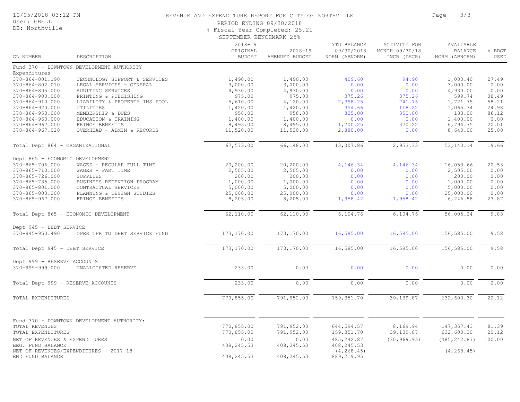| 10/05/2018 03:12 PM |  |  |
|---------------------|--|--|
|---------------------|--|--|

User: GBELL DB: Northville

## REVENUE AND EXPENDITURE REPORT FOR CITY OF NORTHVILLE **FOR SAMILLE PAGE** 3/3

PERIOD ENDING 09/30/2018

% Fiscal Year Completed: 25.21

|  | SEPTEMBER BENCHMARK 25% |  |
|--|-------------------------|--|
|--|-------------------------|--|

| GL NUMBER                                                                                  | DESCRIPTION                                                                              | $2018 - 19$<br>ORIGINAL<br><b>BUDGET</b> | $2018 - 19$<br>AMENDED BUDGET            | YTD BALANCE<br>09/30/2018<br>NORM (ABNORM) | <b>ACTIVITY FOR</b><br>MONTH 09/30/18<br>INCR (DECR) | AVAILABLE<br><b>BALANCE</b><br>NORM (ABNORM) | % BDGT<br>USED                   |
|--------------------------------------------------------------------------------------------|------------------------------------------------------------------------------------------|------------------------------------------|------------------------------------------|--------------------------------------------|------------------------------------------------------|----------------------------------------------|----------------------------------|
|                                                                                            | Fund 370 - DOWNTOWN DEVELOPMENT AUTHORITY                                                |                                          |                                          |                                            |                                                      |                                              |                                  |
| Expenditures<br>370-864-801.190<br>370-864-802.010<br>$370 - 864 - 805.000$                | TECHNOLOGY SUPPORT & SERVICES<br>LEGAL SERVICES - GENERAL<br>AUDITING SERVICES           | 1,490.00<br>3,000.00<br>4,930.00         | 1,490.00<br>3,000.00<br>4,930.00         | 409.60<br>0.00<br>0.00                     | 94.90<br>0.00<br>0.00                                | 1,080.40<br>3,000.00<br>4,930.00             | 27.49<br>0.00<br>0.00            |
| $370 - 864 - 900.000$<br>370-864-910.000<br>$370 - 864 - 920.000$<br>$370 - 864 - 958.000$ | PRINTING & PUBLISHING<br>LIABILITY & PROPERTY INS POOL<br>UTILITIES<br>MEMBERSHIP & DUES | 975.00<br>5,610.00<br>1,420.00<br>958.00 | 975.00<br>4,120.00<br>1,420.00<br>958.00 | 375.26<br>2,398.25<br>354.66<br>825.00     | 375.26<br>741.75<br>118.22<br>350.00                 | 599.74<br>1,721.75<br>1,065.34<br>133.00     | 38.49<br>58.21<br>24.98<br>86.12 |
| $370 - 864 - 960.000$<br>$370 - 864 - 967.000$<br>$370 - 864 - 967.020$                    | EDUCATION & TRAINING<br>FRINGE BENEFITS<br>OVERHEAD - ADMIN & RECORDS                    | 1,400.00<br>8,495.00<br>11,520.00        | 1,400.00<br>8,495.00<br>11,520.00        | 0.00<br>1,700.25<br>2,880.00               | 0.00<br>370.22<br>0.00                               | 1,400.00<br>6,794.75<br>8,640.00             | 0.00<br>20.01<br>25.00           |
| Total Dept 864 - ORGANIZATIONAL                                                            |                                                                                          | 67,573.00                                | 66,148.00                                | 13,007.86                                  | 2,953.33                                             | 53, 140. 14                                  | 19.66                            |
| Dept 865 - ECONOMIC DEVELOPMENT<br>370-865-706.000                                         | WAGES - REGULAR FULL TIME                                                                | 20,200.00                                | 20,200.00                                | 4,146.34                                   | 4,146.34                                             | 16,053.66                                    | 20.53                            |
| 370-865-710.000<br>370-865-726.000<br>370-865-785.000                                      | WAGES - PART TIME<br>SUPPLIES<br>BUSINESS RETENTION PROGRAM                              | 2,505.00<br>200.00<br>1,000.00           | 2,505.00<br>200.00<br>1,000.00           | 0.00<br>0.00<br>0.00                       | 0.00<br>0.00<br>0.00                                 | 2,505.00<br>200.00<br>1,000.00               | 0.00<br>0.00<br>0.00             |
| 370-865-801.000<br>370-865-803.200<br>$370 - 865 - 967.000$                                | CONTRACTUAL SERVICES<br>PLANNING & DESIGN STUDIES<br>FRINGE BENEFITS                     | 5,000.00<br>25,000.00<br>8,205.00        | 5,000.00<br>25,000.00<br>8,205.00        | 0.00<br>0.00<br>1,958.42                   | 0.00<br>0.00<br>1,958.42                             | 5,000.00<br>25,000.00<br>6,246.58            | 0.00<br>0.00<br>23.87            |
|                                                                                            | Total Dept 865 - ECONOMIC DEVELOPMENT                                                    | 62,110.00                                | 62,110.00                                | 6,104.76                                   | 6,104.76                                             | 56,005.24                                    | 9.83                             |
| Dept 945 - DEBT SERVICE<br>370-945-950.490                                                 | OPER TFR TO DEBT SERVICE FUND                                                            | 173,170.00                               | 173,170.00                               | 16,585.00                                  | 16,585.00                                            | 156,585.00                                   | 9.58                             |
| Total Dept 945 - DEBT SERVICE                                                              |                                                                                          | 173,170.00                               | 173,170.00                               | 16,585.00                                  | 16,585.00                                            | 156,585.00                                   | 9.58                             |
| Dept 999 - RESERVE ACCOUNTS<br>370-999-999.000                                             | UNALLOCATED RESERVE                                                                      | 233.00                                   | 0.00                                     | 0.00                                       | 0.00                                                 | 0.00                                         | 0.00                             |
| Total Dept 999 - RESERVE ACCOUNTS                                                          |                                                                                          | 233.00                                   | 0.00                                     | 0.00                                       | 0.00                                                 | 0.00                                         | 0.00                             |
| <b>TOTAL EXPENDITURES</b>                                                                  |                                                                                          | 770,855.00                               | 791,952.00                               | 159, 351.70                                | 39, 139.87                                           | 632,600.30                                   | 20.12                            |
| <b>TOTAL REVENUES</b>                                                                      | Fund 370 - DOWNTOWN DEVELOPMENT AUTHORITY:                                               | 770,855.00                               | 791,952.00                               | 644,594.57                                 | 8,169.94                                             | 147, 357.43                                  | 81.39                            |
| TOTAL EXPENDITURES                                                                         |                                                                                          | 770,855.00                               | 791,952.00                               | 159, 351.70                                | 39, 139.87                                           | 632,600.30                                   | 20.12                            |
| NET OF REVENUES & EXPENDITURES<br>BEG. FUND BALANCE                                        | NET OF REVENUES/EXPENDITURES - 2017-18                                                   | 0.00<br>408, 245.53                      | 0.00<br>408,245.53                       | 485, 242.87<br>408, 245.53<br>(4, 268, 45) | (30, 969.93)                                         | (485, 242.87)<br>(4, 268, 45)                | 100.00                           |
| END FUND BALANCE                                                                           |                                                                                          | 408,245.53                               | 408,245.53                               | 889,219.95                                 |                                                      |                                              |                                  |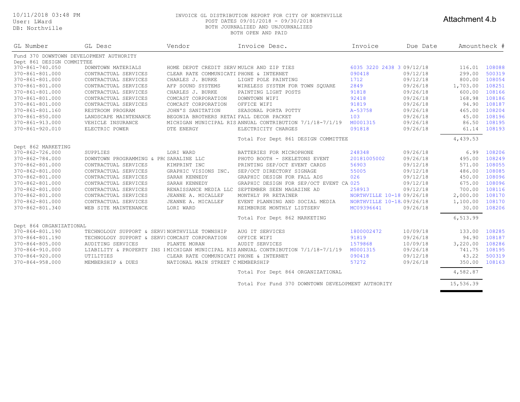User: LWard DB: Northville

#### 10/11/2018 03:48 PM INVOICE GL DISTRIBUTION REPORT FOR CITY OF NORTHVILLE POST DATES 09/01/2018 - 09/30/2018 BOTH JOURNALIZED AND UNJOURNALIZED BOTH OPEN AND PAID

## Attachment 4.b

| GL Number                               | GL Desc                                       | Vendor                                    | Invoice Desc.                                                                      | Invoice                   | Due Date | Amountheck # |        |
|-----------------------------------------|-----------------------------------------------|-------------------------------------------|------------------------------------------------------------------------------------|---------------------------|----------|--------------|--------|
| Fund 370 DOWNTOWN DEVELOPMENT AUTHORITY |                                               |                                           |                                                                                    |                           |          |              |        |
| Dept 861 DESIGN COMMITTEE               |                                               |                                           |                                                                                    |                           |          |              |        |
| 370-861-740.050                         | DOWNTOWN MATERIALS                            | HOME DEPOT CREDIT SERV MULCH AND ZIP TIES |                                                                                    | 6035 3220 2438 3:09/12/18 |          | 116.01       | 108088 |
| 370-861-801.000                         | CONTRACTUAL SERVICES                          | CLEAR RATE COMMUNICATI PHONE & INTERNET   |                                                                                    | 090418                    | 09/12/18 | 299.00       | 500319 |
| 370-861-801.000                         | CONTRACTUAL SERVICES                          | CHARLES J. BURKE                          | LIGHT POLE PAINTING                                                                | 1712                      | 09/12/18 | 800.00       | 108054 |
| 370-861-801.000                         | CONTRACTUAL SERVICES                          | AFP SOUND SYSTEMS                         | WIRELESS SYSTEM FOR TOWN SQUARE                                                    | 2849                      | 09/26/18 | 1,703.00     | 108251 |
| 370-861-801.000                         | CONTRACTUAL SERVICES                          | CHARLES J. BURKE                          | PAINTING LIGHT POSTS                                                               | 91818                     | 09/26/18 | 600.00       | 108166 |
| 370-861-801.000                         | CONTRACTUAL SERVICES                          | COMCAST CORPORATION                       | DOWNTOWN WIFI                                                                      | 92418                     | 09/26/18 | 168.98       | 108186 |
| 370-861-801.000                         | CONTRACTUAL SERVICES                          | COMCAST CORPORATION                       | OFFICE WIFI                                                                        | 91819                     | 09/26/18 | 94.90        | 108187 |
| 370-861-801.160                         | RESTROOM PROGRAM                              | JOHN'S SANITATION                         | SEASONAL PORTA POTTY                                                               | A-53758                   | 09/26/18 | 465.00       | 108204 |
| 370-861-850.000                         | LANDSCAPE MAINTENANCE                         | BEGONIA BROTHERS RETAI FALL DECOR PACKET  |                                                                                    | 103                       | 09/26/18 | 45.00        | 108196 |
| 370-861-913.000                         | VEHICLE INSURANCE                             |                                           | MICHIGAN MUNICIPAL RIS ANNUAL CONTRIBUTION 7/1/18-7/1/19                           | M0001315                  | 09/26/18 | 86.50        | 108195 |
| $370 - 861 - 920.010$                   | ELECTRIC POWER                                | DTE ENERGY                                | ELECTRICITY CHARGES                                                                | 091818                    | 09/26/18 | 61.14        | 108193 |
|                                         |                                               |                                           | Total For Dept 861 DESIGN COMMITTEE                                                |                           |          | 4,439.53     |        |
| Dept 862 MARKETING                      |                                               |                                           |                                                                                    |                           |          |              |        |
| 370-862-726.000                         | SUPPLIES                                      | LORI WARD                                 | BATTERIES FOR MICROPHONE                                                           | 248348                    | 09/26/18 | 6.99         | 108206 |
| 370-862-784.000                         | DOWNTOWN PROGRAMMING & PR(SARALINE LLC        |                                           | PHOTO BOOTH - SKELETONS EVENT                                                      | 20181005002               | 09/26/18 | 495.00       | 108249 |
| 370-862-801.000                         | CONTRACTUAL SERVICES                          | KIMPRINT INC                              | PRINTING SEP/OCT EVENT CARDS                                                       | 56903                     | 09/12/18 | 571.00       | 108055 |
| 370-862-801.000                         | CONTRACTUAL SERVICES                          | GRAPHIC VISIONS INC.                      | SEP/OCT DIRECTORY SIGNAGE                                                          | 55005                     | 09/12/18 | 486.00       | 108085 |
| 370-862-801.000                         | CONTRACTUAL SERVICES                          | SARAH KENNEDY                             | GRAPHIC DESIGN FOR FALL ADS                                                        | 026                       | 09/12/18 | 450.00       | 108096 |
| 370-862-801.000                         | CONTRACTUAL SERVICES                          | SARAH KENNEDY                             | GRAPHIC DESIGN FOR SEP/OCT EVENT CAM 025                                           |                           | 09/12/18 | 675.00       | 108096 |
| 370-862-801.000                         | CONTRACTUAL SERVICES                          |                                           | RENAISSANCE MEDIA LLC SEPTEMBER SEEN MAGAZINE AD                                   | 258913                    | 09/12/18 | 700.00       | 108116 |
| 370-862-801.000                         | CONTRACTUAL SERVICES                          | JEANNE A. MICALLEF                        | MONTHLY PR RETAINER                                                                | NORTHVILLE 10-18 09/26/18 |          | 2,000.00     | 108170 |
| 370-862-801.000                         | CONTRACTUAL SERVICES                          | JEANNE A. MICALLEF                        | EVENT PLANNING AND SOCIAL MEDIA                                                    | NORTHVILLE 10-18 09/26/18 |          | 1,100.00     | 108170 |
| 370-862-801.340                         | WEB SITE MAINTENANCE                          | LORI WARD                                 | REIMBURSE MONTHLY LISTSERV                                                         | MC09396641                | 09/26/18 | 30.00        | 108206 |
|                                         |                                               |                                           | Total For Dept 862 MARKETING                                                       |                           |          | 6,513.99     |        |
| Dept 864 ORGANIZATIONAL                 |                                               |                                           |                                                                                    |                           |          |              |        |
| 370-864-801.190                         | TECHNOLOGY SUPPORT & SERVINORTHVILLE TOWNSHIP |                                           | AUG IT SERVICES                                                                    | 1800002472                | 10/09/18 | 133.00       | 108285 |
| 370-864-801.190                         | TECHNOLOGY SUPPORT & SERVICOMCAST CORPORATION |                                           | OFFICE WIFI                                                                        | 91819                     | 09/26/18 | 94.90        | 108187 |
| 370-864-805.000                         | AUDITING SERVICES                             | PLANTE MORAN                              | AUDIT SERVICES                                                                     | 1579868                   | 10/09/18 | 3,220.00     | 108286 |
| 370-864-910.000                         |                                               |                                           | LIABILITY & PROPERTY INS IMICHIGAN MUNICIPAL RIS ANNUAL CONTRIBUTION 7/1/18-7/1/19 | M0001315                  | 09/26/18 | 741.75       | 108195 |
| $370 - 864 - 920.000$                   | UTILITIES                                     | CLEAR RATE COMMUNICATI PHONE & INTERNET   |                                                                                    | 090418                    | 09/12/18 | 43.22        | 500319 |
| $370 - 864 - 958.000$                   | MEMBERSHIP & DUES                             | NATIONAL MAIN STREET C MEMBERSHIP         |                                                                                    | 57272                     | 09/26/18 | 350.00       | 108163 |
|                                         |                                               |                                           |                                                                                    |                           |          |              |        |

Total For Dept 864 ORGANIZATIONAL 4,582.87

Total For Fund 370 DOWNTOWN DEVELOPMENT AUTHORITY 15,536.39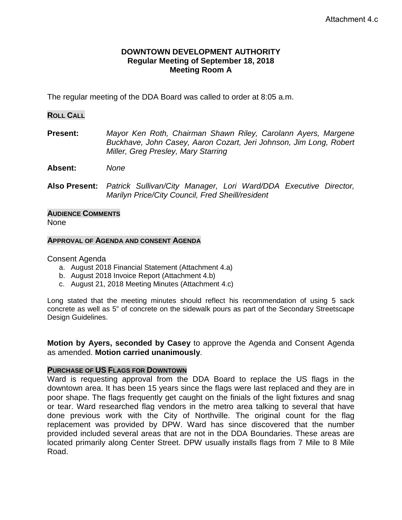# **DOWNTOWN DEVELOPMENT AUTHORITY Regular Meeting of September 18, 2018 Meeting Room A**

The regular meeting of the DDA Board was called to order at 8:05 a.m.

## **ROLL CALL**

**Present:** *Mayor Ken Roth, Chairman Shawn Riley, Carolann Ayers, Margene Buckhave, John Casey, Aaron Cozart, Jeri Johnson, Jim Long, Robert Miller, Greg Presley, Mary Starring*

**Absent:** *None*

**Also Present:** *Patrick Sullivan/City Manager, Lori Ward/DDA Executive Director, Marilyn Price/City Council, Fred Sheill/resident* 

## **AUDIENCE COMMENTS** None

## **APPROVAL OF AGENDA AND CONSENT AGENDA**

Consent Agenda

- a. August 2018 Financial Statement (Attachment 4.a)
- b. August 2018 Invoice Report (Attachment 4.b)
- c. August 21, 2018 Meeting Minutes (Attachment 4.c)

Long stated that the meeting minutes should reflect his recommendation of using 5 sack concrete as well as 5" of concrete on the sidewalk pours as part of the Secondary Streetscape Design Guidelines.

**Motion by Ayers, seconded by Casey** to approve the Agenda and Consent Agenda as amended. **Motion carried unanimously**.

# **PURCHASE OF US FLAGS FOR DOWNTOWN**

Ward is requesting approval from the DDA Board to replace the US flags in the downtown area. It has been 15 years since the flags were last replaced and they are in poor shape. The flags frequently get caught on the finials of the light fixtures and snag or tear. Ward researched flag vendors in the metro area talking to several that have done previous work with the City of Northville. The original count for the flag replacement was provided by DPW. Ward has since discovered that the number provided included several areas that are not in the DDA Boundaries. These areas are located primarily along Center Street. DPW usually installs flags from 7 Mile to 8 Mile Road.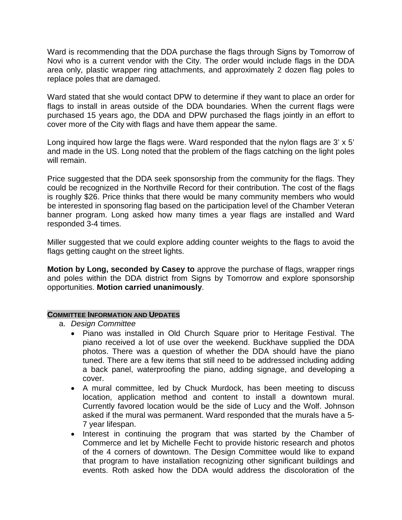Ward is recommending that the DDA purchase the flags through Signs by Tomorrow of Novi who is a current vendor with the City. The order would include flags in the DDA area only, plastic wrapper ring attachments, and approximately 2 dozen flag poles to replace poles that are damaged.

Ward stated that she would contact DPW to determine if they want to place an order for flags to install in areas outside of the DDA boundaries. When the current flags were purchased 15 years ago, the DDA and DPW purchased the flags jointly in an effort to cover more of the City with flags and have them appear the same.

Long inquired how large the flags were. Ward responded that the nylon flags are 3' x 5' and made in the US. Long noted that the problem of the flags catching on the light poles will remain.

Price suggested that the DDA seek sponsorship from the community for the flags. They could be recognized in the Northville Record for their contribution. The cost of the flags is roughly \$26. Price thinks that there would be many community members who would be interested in sponsoring flag based on the participation level of the Chamber Veteran banner program. Long asked how many times a year flags are installed and Ward responded 3-4 times.

Miller suggested that we could explore adding counter weights to the flags to avoid the flags getting caught on the street lights.

**Motion by Long, seconded by Casey to** approve the purchase of flags, wrapper rings and poles within the DDA district from Signs by Tomorrow and explore sponsorship opportunities. **Motion carried unanimously**.

# **COMMITTEE INFORMATION AND UPDATES**

- a. *Design Committee*
	- Piano was installed in Old Church Square prior to Heritage Festival. The piano received a lot of use over the weekend. Buckhave supplied the DDA photos. There was a question of whether the DDA should have the piano tuned. There are a few items that still need to be addressed including adding a back panel, waterproofing the piano, adding signage, and developing a cover.
	- A mural committee, led by Chuck Murdock, has been meeting to discuss location, application method and content to install a downtown mural. Currently favored location would be the side of Lucy and the Wolf. Johnson asked if the mural was permanent. Ward responded that the murals have a 5- 7 year lifespan.
	- Interest in continuing the program that was started by the Chamber of Commerce and let by Michelle Fecht to provide historic research and photos of the 4 corners of downtown. The Design Committee would like to expand that program to have installation recognizing other significant buildings and events. Roth asked how the DDA would address the discoloration of the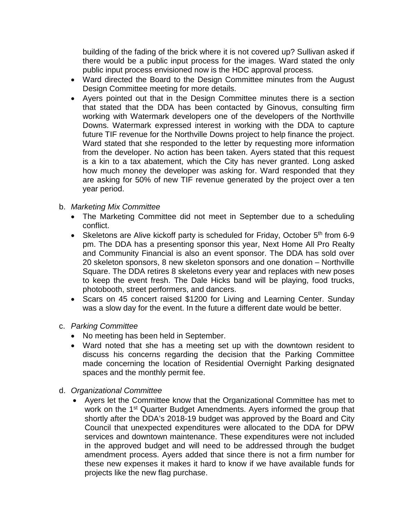building of the fading of the brick where it is not covered up? Sullivan asked if there would be a public input process for the images. Ward stated the only public input process envisioned now is the HDC approval process.

- Ward directed the Board to the Design Committee minutes from the August Design Committee meeting for more details.
- Ayers pointed out that in the Design Committee minutes there is a section that stated that the DDA has been contacted by Ginovus, consulting firm working with Watermark developers one of the developers of the Northville Downs. Watermark expressed interest in working with the DDA to capture future TIF revenue for the Northville Downs project to help finance the project. Ward stated that she responded to the letter by requesting more information from the developer. No action has been taken. Ayers stated that this request is a kin to a tax abatement, which the City has never granted. Long asked how much money the developer was asking for. Ward responded that they are asking for 50% of new TIF revenue generated by the project over a ten year period.

# b. *Marketing Mix Committee*

- The Marketing Committee did not meet in September due to a scheduling conflict.
- Skeletons are Alive kickoff party is scheduled for Friday, October  $5<sup>th</sup>$  from 6-9 pm. The DDA has a presenting sponsor this year, Next Home All Pro Realty and Community Financial is also an event sponsor. The DDA has sold over 20 skeleton sponsors, 8 new skeleton sponsors and one donation – Northville Square. The DDA retires 8 skeletons every year and replaces with new poses to keep the event fresh. The Dale Hicks band will be playing, food trucks, photobooth, street performers, and dancers.
- Scars on 45 concert raised \$1200 for Living and Learning Center. Sunday was a slow day for the event. In the future a different date would be better.
- c. *Parking Committee*
	- No meeting has been held in September.
	- Ward noted that she has a meeting set up with the downtown resident to discuss his concerns regarding the decision that the Parking Committee made concerning the location of Residential Overnight Parking designated spaces and the monthly permit fee.
- d. *Organizational Committee*
	- Ayers let the Committee know that the Organizational Committee has met to work on the 1<sup>st</sup> Quarter Budget Amendments. Ayers informed the group that shortly after the DDA's 2018-19 budget was approved by the Board and City Council that unexpected expenditures were allocated to the DDA for DPW services and downtown maintenance. These expenditures were not included in the approved budget and will need to be addressed through the budget amendment process. Ayers added that since there is not a firm number for these new expenses it makes it hard to know if we have available funds for projects like the new flag purchase.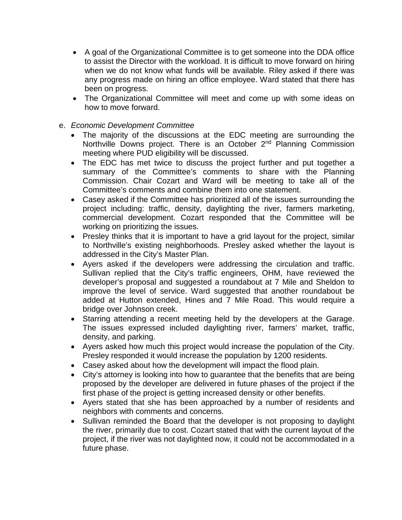- A goal of the Organizational Committee is to get someone into the DDA office to assist the Director with the workload. It is difficult to move forward on hiring when we do not know what funds will be available. Riley asked if there was any progress made on hiring an office employee. Ward stated that there has been on progress.
- The Organizational Committee will meet and come up with some ideas on how to move forward.

# e. *Economic Development Committee*

- The majority of the discussions at the EDC meeting are surrounding the Northville Downs project. There is an October  $2<sup>nd</sup>$  Planning Commission meeting where PUD eligibility will be discussed.
- The EDC has met twice to discuss the project further and put together a summary of the Committee's comments to share with the Planning Commission. Chair Cozart and Ward will be meeting to take all of the Committee's comments and combine them into one statement.
- Casey asked if the Committee has prioritized all of the issues surrounding the project including: traffic, density, daylighting the river, farmers marketing, commercial development. Cozart responded that the Committee will be working on prioritizing the issues.
- Presley thinks that it is important to have a grid layout for the project, similar to Northville's existing neighborhoods. Presley asked whether the layout is addressed in the City's Master Plan.
- Ayers asked if the developers were addressing the circulation and traffic. Sullivan replied that the City's traffic engineers, OHM, have reviewed the developer's proposal and suggested a roundabout at 7 Mile and Sheldon to improve the level of service. Ward suggested that another roundabout be added at Hutton extended, Hines and 7 Mile Road. This would require a bridge over Johnson creek.
- Starring attending a recent meeting held by the developers at the Garage. The issues expressed included daylighting river, farmers' market, traffic, density, and parking.
- Ayers asked how much this project would increase the population of the City. Presley responded it would increase the population by 1200 residents.
- Casey asked about how the development will impact the flood plain.
- City's attorney is looking into how to guarantee that the benefits that are being proposed by the developer are delivered in future phases of the project if the first phase of the project is getting increased density or other benefits.
- Ayers stated that she has been approached by a number of residents and neighbors with comments and concerns.
- Sullivan reminded the Board that the developer is not proposing to daylight the river, primarily due to cost. Cozart stated that with the current layout of the project, if the river was not daylighted now, it could not be accommodated in a future phase.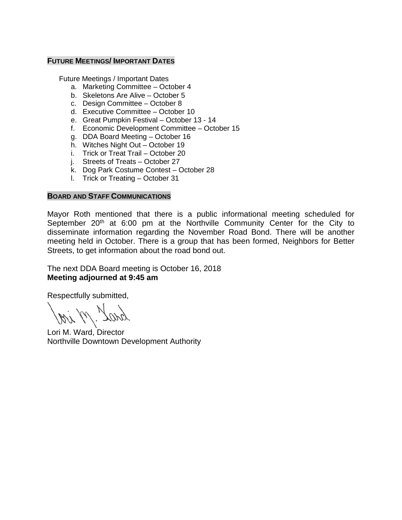# **FUTURE MEETINGS/ IMPORTANT DATES**

Future Meetings / Important Dates

- a. Marketing Committee October 4
- b. Skeletons Are Alive October 5
- c. Design Committee October 8
- d. Executive Committee October 10
- e. Great Pumpkin Festival October 13 14
- f. Economic Development Committee October 15
- g. DDA Board Meeting October 16
- h. Witches Night Out October 19
- i. Trick or Treat Trail October 20
- j. Streets of Treats October 27
- k. Dog Park Costume Contest October 28
- l. Trick or Treating October 31

# **BOARD AND STAFF COMMUNICATIONS**

Mayor Roth mentioned that there is a public informational meeting scheduled for September  $20<sup>th</sup>$  at 6:00 pm at the Northville Community Center for the City to disseminate information regarding the November Road Bond. There will be another meeting held in October. There is a group that has been formed, Neighbors for Better Streets, to get information about the road bond out.

The next DDA Board meeting is October 16, 2018 **Meeting adjourned at 9:45 am**

Respectfully submitted,

Lori M. Ward, Director Northville Downtown Development Authority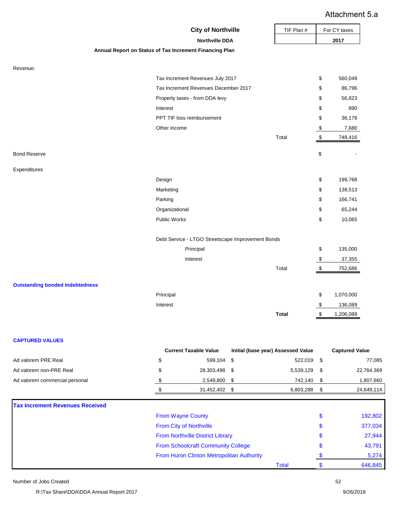# Attachment 5.a

|                                        | <b>City of Northville</b>                               | TIF Plan #   | \$<br>\$<br>\$<br>\$<br>\$<br>$\boldsymbol{\mathsf{S}}$<br>$\,$<br>\$<br>\$<br>\$<br>\$<br>\$<br>\$<br>\$<br>$\sqrt[6]{3}$<br>$\sqrt[6]{\frac{1}{2}}$<br>\$<br>\$<br>$$\mathbb{S}$$ | For CY taxes |
|----------------------------------------|---------------------------------------------------------|--------------|-------------------------------------------------------------------------------------------------------------------------------------------------------------------------------------|--------------|
|                                        | <b>Northville DDA</b>                                   |              |                                                                                                                                                                                     | 2017         |
|                                        | Annual Report on Status of Tax Increment Financing Plan |              |                                                                                                                                                                                     |              |
| Revenue:                               |                                                         |              |                                                                                                                                                                                     |              |
|                                        | Tax Increment Revenues July 2017                        |              |                                                                                                                                                                                     | 560,049      |
|                                        | Tax Increment Revenues December 2017                    |              |                                                                                                                                                                                     | 86,796       |
|                                        | Property taxes - from DDA levy                          |              |                                                                                                                                                                                     | 56,823       |
|                                        | Interest                                                |              |                                                                                                                                                                                     | 890          |
|                                        | PPT TIF loss reimbursement                              |              |                                                                                                                                                                                     | 36,178       |
|                                        | Other income                                            |              |                                                                                                                                                                                     | 7,680        |
|                                        |                                                         | Total        |                                                                                                                                                                                     | 748,416      |
| <b>Bond Reserve</b>                    |                                                         |              |                                                                                                                                                                                     |              |
| Expenditures                           |                                                         |              |                                                                                                                                                                                     |              |
|                                        | Design                                                  |              |                                                                                                                                                                                     | 199,768      |
|                                        | Marketing                                               |              |                                                                                                                                                                                     | 138,513      |
|                                        | Parking                                                 |              |                                                                                                                                                                                     | 166,741      |
|                                        | Organizational                                          |              |                                                                                                                                                                                     | 65,244       |
|                                        | <b>Public Works</b>                                     |              |                                                                                                                                                                                     | 10,065       |
|                                        | Debt Service - LTGO Streetscape Improvement Bonds       |              |                                                                                                                                                                                     |              |
|                                        | Principal                                               |              |                                                                                                                                                                                     | 135,000      |
|                                        | Interest                                                |              |                                                                                                                                                                                     | 37,355       |
|                                        |                                                         | Total        |                                                                                                                                                                                     | 752,686      |
| <b>Outstanding bonded Indebtedness</b> |                                                         |              |                                                                                                                                                                                     |              |
|                                        | Principal                                               |              |                                                                                                                                                                                     | 1,070,000    |
|                                        | Interest                                                |              |                                                                                                                                                                                     | 136,089      |
|                                        |                                                         | <b>Total</b> |                                                                                                                                                                                     | 1,206,089    |

|                                | <b>Current Taxable Value</b> | Initial (base year) Assessed Value | <b>Captured Value</b> |
|--------------------------------|------------------------------|------------------------------------|-----------------------|
| Ad valorem PRE Real            | 599.104                      | 522,019 \$                         | 77,085                |
| Ad valorem non-PRE Real        | 28,303,498                   | 5,539,129 \$                       | 22,764,369            |
| Ad valorem commercial personal | 2.549.800                    | 742.140                            | 1,807,660             |
|                                | 31.452.402                   | 6.803.288                          | 24,649,114            |
|                                |                              |                                    |                       |

# **Tax Increment Revenues Received**

| <u>A INCIGNIENI REVENUES RECEIVEU</u> |                                           |       |         |
|---------------------------------------|-------------------------------------------|-------|---------|
|                                       | <b>From Wayne County</b>                  |       | 192,802 |
|                                       | From City of Northville                   |       | 377,034 |
|                                       | <b>From Northville District Library</b>   |       | 27,944  |
|                                       | <b>From Schoolcraft Community College</b> |       | 43,791  |
|                                       | From Huron Clinton Metropolitan Authority |       | 5,274   |
|                                       |                                           | Total | 646,845 |

Number of Jobs Created 52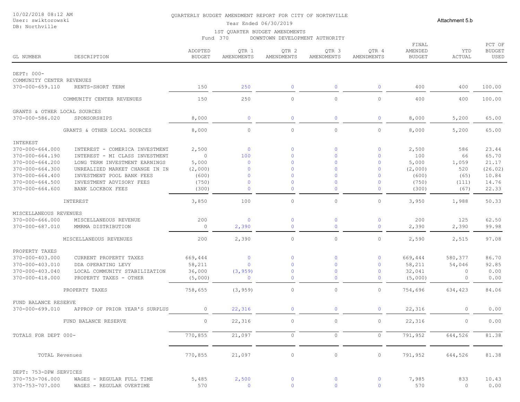#### 10/02/2018 08:12 AM User: swiktorowski

## DB: Northville

#### QUARTERLY BUDGET AMENDMENT REPORT FOR CITY OF NORTHVILLE

Attachment 5.b

# Year Ended 06/30/2019

1ST QUARTER BUDGET AMENDMENTS Fund 370 DOWNTOWN DEVELOPMENT AUTHORITY

| GL NUMBER                    | DESCRIPTION                    | ADOPTED<br><b>BUDGET</b> | QTR 1<br>AMENDMENTS | QTR 2<br>AMENDMENTS | QTR <sub>3</sub><br>AMENDMENTS | QTR 4<br>AMENDMENTS | FINAL<br>AMENDED<br><b>BUDGET</b> | YTD<br>ACTUAL | PCT OF<br><b>BUDGET</b><br>USED |
|------------------------------|--------------------------------|--------------------------|---------------------|---------------------|--------------------------------|---------------------|-----------------------------------|---------------|---------------------------------|
| DEPT: 000-                   |                                |                          |                     |                     |                                |                     |                                   |               |                                 |
| COMMUNITY CENTER REVENUES    |                                |                          |                     |                     |                                |                     |                                   |               |                                 |
| $370 - 000 - 659.110$        | RENTS-SHORT TERM               | 150                      | 250                 | $\mathbf 0$         | $\mathbf{0}$                   | $\mathbf 0$         | 400                               | 400           | 100.00                          |
|                              |                                |                          |                     |                     |                                |                     |                                   |               |                                 |
|                              | COMMUNITY CENTER REVENUES      | 150                      | 250                 | $\circ$             | $\circ$                        | $\circ$             | 400                               | 400           | 100.00                          |
| GRANTS & OTHER LOCAL SOURCES |                                |                          |                     |                     |                                |                     |                                   |               |                                 |
| 370-000-586.020              | SPONSORSHIPS                   | 8,000                    | $\mathbf 0$         | $\mathbf 0$         | $\mathbf 0$                    | $\mathbf{0}$        | 8,000                             | 5,200         | 65.00                           |
|                              | GRANTS & OTHER LOCAL SOURCES   | 8,000                    | $\circ$             | $\circ$             | $\circ$                        | $\circ$             | 8,000                             | 5,200         | 65.00                           |
| INTEREST                     |                                |                          |                     |                     |                                |                     |                                   |               |                                 |
| $370 - 000 - 664.000$        | INTEREST - COMERICA INVESTMENT | 2,500                    | $\overline{0}$      | $\mathbf{0}$        | $\mathbf{0}$                   | $\mathbf 0$         | 2,500                             | 586           | 23.44                           |
| 370-000-664.190              | INTEREST - MI CLASS INVESTMENT | $\circ$                  | 100                 | $\Omega$            | $\mathbf{0}$                   | $\mathbf 0$         | 100                               | 66            | 65.70                           |
| $370 - 000 - 664.200$        | LONG TERM INVESTMENT EARNINGS  | 5,000                    | $\overline{0}$      | $\Omega$            | $\Omega$                       | $\mathbf{0}$        | 5,000                             | 1,059         | 21.17                           |
| $370 - 000 - 664.300$        | UNREALIZED MARKET CHANGE IN IN | (2,000)                  | $\mathbf{0}$        | $\Omega$            | $\Omega$                       | $\mathbf{0}$        | (2,000)                           | 520           | (26.02)                         |
| $370 - 000 - 664.400$        | INVESTMENT POOL BANK FEES      | (600)                    | $\mathbf 0$         | $\Omega$            | $\mathbf{0}$                   | $\mathbf 0$         | (600)                             | (65)          | 10.84                           |
| $370 - 000 - 664.500$        | INVESTMENT ADVISORY FEES       | (750)                    | $\mathbf 0$         | $\Omega$            | $\Omega$                       | $\mathbf 0$         | (750)                             | (111)         | 14.76                           |
| $370 - 000 - 664.600$        | BANK LOCKBOX FEES              | (300)                    | $\mathbf{0}$        | $\Omega$            | $\Omega$                       | $\mathbf{0}$        | (300)                             | (67)          | 22.33                           |
|                              | INTEREST                       | 3,850                    | 100                 | $\circ$             | $\circ$                        | $\circ$             | 3,950                             | 1,988         | 50.33                           |
| MISCELLANEOUS REVENUES       |                                |                          |                     |                     |                                |                     |                                   |               |                                 |
| 370-000-666.000              | MISCELLANEOUS REVENUE          | 200                      | $\overline{0}$      | $\mathbf 0$         | $\mathbf 0$                    | $\mathbf{0}$        | 200                               | 125           | 62.50                           |
| 370-000-687.010              | MMRMA DISTRIBUTION             | $\circ$                  | 2,390               | $\mathbf 0$         | $\mathbf 0$                    | $\mathbf{0}$        | 2,390                             | 2,390         | 99.98                           |
|                              | MISCELLANEOUS REVENUES         | 200                      | 2,390               | $\circ$             | $\circ$                        | $\circ$             | 2,590                             | 2,515         | 97.08                           |
| PROPERTY TAXES               |                                |                          |                     |                     |                                |                     |                                   |               |                                 |
| 370-000-403.000              | CURRENT PROPERTY TAXES         | 669,444                  | $\mathbf 0$         | $\Omega$            | $\mathbf{0}$                   | $\mathbf 0$         | 669,444                           | 580,377       | 86.70                           |
| 370-000-403.010              | DDA OPERATING LEVY             | 58,211                   | $\mathbf{0}$        | $\Omega$            | $\mathbf{0}$                   | $\mathbf 0$         | 58,211                            | 54,046        | 92.85                           |
| 370-000-403.040              | LOCAL COMMUNITY STABILIZATION  | 36,000                   | (3, 959)            | $\mathbf{0}$        | $\mathbf 0$                    | $\mathbf 0$         | 32,041                            | $\circ$       | 0.00                            |
| 370-000-418.000              | PROPERTY TAXES - OTHER         | (5,000)                  | $\mathbf{0}$        | $\mathbf 0$         | $\mathbf{0}$                   | $\mathbf 0$         | (5,000)                           | 0             | 0.00                            |
|                              |                                |                          |                     |                     |                                |                     |                                   |               |                                 |
|                              | PROPERTY TAXES                 | 758,655                  | (3, 959)            | $\circ$             | $\circ$                        | $\circ$             | 754,696                           | 634,423       | 84.06                           |
| FUND BALANCE RESERVE         |                                |                          |                     |                     |                                |                     |                                   |               |                                 |
| $370 - 000 - 699.010$        | APPROP OF PRIOR YEAR'S SURPLUS | $\circ$                  | 22,316              | $\mathbf 0$         | $\mathbf 0$                    | $\mathbf{0}$        | 22,316                            | $\circ$       | 0.00                            |
|                              | FUND BALANCE RESERVE           | $\circ$                  | 22,316              | $\circ$             | $\circ$                        | $\circ$             | 22,316                            | 0             | 0.00                            |
| TOTALS FOR DEPT 000-         |                                | 770,855                  | 21,097              | $\circ$             | $\circ$                        | $\circ$             | 791,952                           | 644,526       | 81.38                           |
|                              |                                |                          |                     |                     |                                |                     |                                   |               |                                 |
| TOTAL Revenues               |                                | 770,855                  | 21,097              | $\circ$             | $\mathbb O$                    | $\circ$             | 791,952                           | 644,526       | 81.38                           |
| DEPT: 753-DPW SERVICES       |                                |                          |                     |                     |                                |                     |                                   |               |                                 |
| 370-753-706.000              | WAGES - REGULAR FULL TIME      | 5,485                    | 2,500               | $\mathbf{0}$        | $\circ$                        | $\overline{0}$      | 7,985                             | 833           | 10.43                           |
| 370-753-707.000              | WAGES - REGULAR OVERTIME       | 570                      | $\mathbf{0}$        |                     |                                |                     | 570                               | $\circ$       | 0.00                            |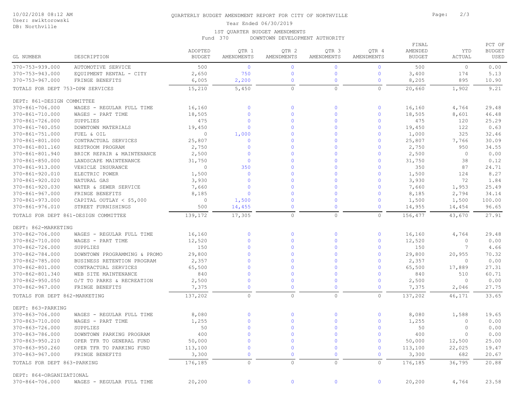### DB: Northville

## QUARTERLY BUDGET AMENDMENT REPORT FOR CITY OF NORTHVILLE **Formulation** Page: 2/3

Year Ended 06/30/2019

#### 1ST QUARTER BUDGET AMENDMENTS

Fund 370 DOWNTOWN DEVELOPMENT AUTHORITY

| GL NUMBER                          | DESCRIPTION                                          | ADOPTED<br><b>BUDGET</b> | QTR 1<br>AMENDMENTS | QTR 2<br>AMENDMENTS        | QTR 3<br>AMENDMENTS | QTR 4<br>AMENDMENTS        | FINAL<br>AMENDED<br><b>BUDGET</b> | YTD<br>ACTUAL  | PCT OF<br><b>BUDGET</b><br>USED |
|------------------------------------|------------------------------------------------------|--------------------------|---------------------|----------------------------|---------------------|----------------------------|-----------------------------------|----------------|---------------------------------|
|                                    |                                                      |                          | $\overline{0}$      |                            | $\mathbf{0}$        |                            |                                   |                |                                 |
| 370-753-939.000<br>370-753-943.000 | <b>AUTOMOTIVE SERVICE</b><br>EQUIPMENT RENTAL - CITY | 500<br>2,650             | 750                 | $\mathbf 0$<br>$\mathbf 0$ | $\mathbf 0$         | $\mathbf 0$<br>$\mathbf 0$ | 500<br>3,400                      | $\circ$<br>174 | 0.00<br>5.13                    |
| $370 - 753 - 967.000$              | FRINGE BENEFITS                                      | 6,005                    | 2,200               | $\mathbf 0$                | $\mathbf 0$         | $\mathbf 0$                | 8,205                             | 895            | 10.90                           |
|                                    |                                                      |                          |                     |                            |                     |                            |                                   |                |                                 |
| TOTALS FOR DEPT 753-DPW SERVICES   |                                                      | 15,210                   | 5,450               | $\circ$                    | $\circ$             | $\circ$                    | 20,660                            | 1,902          | 9.21                            |
| DEPT: 861-DESIGN COMMITTEE         |                                                      |                          |                     |                            |                     |                            |                                   |                |                                 |
| 370-861-706.000                    | WAGES - REGULAR FULL TIME                            | 16,160                   | $\mathbf{0}$        | $\mathbf 0$                | $\mathbf 0$         | $\mathbf 0$                | 16,160                            | 4,764          | 29.48                           |
| 370-861-710.000                    | WAGES - PART TIME                                    | 18,505                   | $\mathbf{0}$        | $\mathbf{0}$               | $\mathbf{0}$        | $\circ$                    | 18,505                            | 8,601          | 46.48                           |
| 370-861-726.000                    | SUPPLIES                                             | 475                      | $\mathbf{0}$        | $\Omega$                   | $\Omega$            | $\mathbf{0}$               | 475                               | 120            | 25.29                           |
| 370-861-740.050                    | DOWNTOWN MATERIALS                                   | 19,450                   | $\mathbf{0}$        | $\mathbf{0}$               | $\mathbf{0}$        | $\mathbf{0}$               | 19,450                            | 122            | 0.63                            |
| 370-861-751.000                    | FUEL & OIL                                           | $\circ$                  | 1,000               | $\Omega$                   | $\Omega$            | $\circ$                    | 1,000                             | 325            | 32.46                           |
| 370-861-801.000                    | CONTRACTUAL SERVICES                                 | 25,807                   | $\mathbf{0}$        | $\Omega$                   | $\Omega$            | $\mathbf{0}$               | 25,807                            | 7,766          | 30.09                           |
| 370-861-801.160                    | RESTROOM PROGRAM                                     | 2,750                    | $\mathbf{0}$        | $\Omega$                   | $\Omega$            | $\mathbf{0}$               | 2,750                             | 950            | 34.55                           |
| 370-861-801.940                    | BRICK REPAIR & MAINTENANCE                           | 2,500                    | $\mathbf{0}$        | $\Omega$                   | $\Omega$            | $\circ$                    | 2,500                             | $\circ$        | 0.00                            |
| $370 - 861 - 850.000$              | LANDSCAPE MAINTENANCE                                | 31,750                   | $\Omega$            | $\Omega$                   | $\Omega$            | $\mathbf{0}$               | 31,750                            | 38             | 0.12                            |
| 370-861-913.000                    | VEHICLE INSURANCE                                    | $\circ$                  | 350                 | $\Omega$                   | $\mathbf{0}$        | $\mathbf{0}$               | 350                               | 87             | 24.71                           |
| 370-861-920.010                    | ELECTRIC POWER                                       | 1,500                    | $\mathbf{0}$        | $\Omega$                   | $\Omega$            | $\circ$                    | 1,500                             | 124            | 8.27                            |
| $370 - 861 - 920.020$              | NATURAL GAS                                          | 3,930                    | $\Omega$            | $\Omega$                   | $\Omega$            | $\mathbf{0}$               | 3,930                             | 72             | 1.84                            |
| $370 - 861 - 920.030$              | WATER & SEWER SERVICE                                | 7,660                    | $\mathbf{0}$        | $\Omega$                   | $\mathbf{0}$        | $\mathbf{0}$               | 7,660                             | 1,953          | 25.49                           |
| 370-861-967.000                    | FRINGE BENEFITS                                      | 8,185                    | $\mathbf{0}$        | $\Omega$                   | $\Omega$            | $\circ$                    | 8,185                             | 2,794          | 34.14                           |
| $370 - 861 - 973.000$              | CAPITAL OUTLAY $<$ \$5,000                           | $\circ$                  | 1,500               | $\mathbf{0}$               | $\Omega$            | $\mathbf 0$                | 1,500                             | 1,500          | 100.00                          |
| 370-861-976.010                    | STREET FURNISHINGS                                   | 500                      | 14,455              | $\mathbf{0}$               | $\mathbf{0}$        | $\circ$                    | 14,955                            | 14,454         | 96.65                           |
|                                    | TOTALS FOR DEPT 861-DESIGN COMMITTEE                 | 139,172                  | 17,305              | $\circ$                    | $\circ$             | $\circ$                    | 156,477                           | 43,670         | 27.91                           |
| DEPT: 862-MARKETING                |                                                      |                          |                     |                            |                     |                            |                                   |                |                                 |
| 370-862-706.000                    | WAGES - REGULAR FULL TIME                            | 16,160                   | $\mathbf{0}$        | $\mathbf 0$                | $\mathbf 0$         | $\mathbf 0$                | 16,160                            | 4,764          | 29.48                           |
| 370-862-710.000                    | WAGES - PART TIME                                    | 12,520                   | $\mathbf{0}$        | $\mathbf{0}$               | $\Omega$            | $\mathbf 0$                | 12,520                            | $\circ$        | 0.00                            |
| 370-862-726.000                    | SUPPLIES                                             | 150                      | $\Omega$            | $\Omega$                   | $\Omega$            | $\mathbf{0}$               | 150                               | 7              | 4.66                            |
| 370-862-784.000                    | DOWNTOWN PROGRAMMING & PROMO                         | 29,800                   | $\Omega$            | $\Omega$                   | $\mathbf{0}$        | $\mathbf{0}$               | 29,800                            | 20,955         | 70.32                           |
| 370-862-785.000                    | BUSINESS RETENTION PROGRAM                           | 2,357                    | $\overline{0}$      | $\Omega$                   | $\Omega$            | $\mathbf 0$                | 2,357                             | $\circ$        | 0.00                            |
| 370-862-801.000                    | CONTRACTUAL SERVICES                                 | 65,500                   | $\Omega$            | $\Omega$                   | $\Omega$            | $\mathbf{0}$               | 65,500                            | 17,889         | 27.31                           |
| 370-862-801.340                    | WEB SITE MAINTENANCE                                 | 840                      | $\Omega$            | $\mathbf{0}$               | $\Omega$            | $\mathbf{0}$               | 840                               | 510            | 60.71                           |
| $370 - 862 - 950.050$              | O/T TO PARKS & RECREATION                            | 2,500                    | $\overline{0}$      | $\mathbf 0$                | $\mathbf{0}$        | $\mathbf 0$                | 2,500                             | $\circ$        | 0.00                            |
| $370 - 862 - 967.000$              | FRINGE BENEFITS                                      | 7,375                    | $\Omega$            | $\mathbf{0}$               | $\mathbf{0}$        | $\circ$                    | 7,375                             | 2,046          | 27.75                           |
| TOTALS FOR DEPT 862-MARKETING      |                                                      | 137,202                  | $\circ$             | $\circ$                    | $\circ$             | $\circ$                    | 137,202                           | 46,171         | 33.65                           |
|                                    |                                                      |                          |                     |                            |                     |                            |                                   |                |                                 |
| DEPT: 863-PARKING                  |                                                      |                          |                     |                            |                     |                            |                                   |                |                                 |
| 370-863-706.000                    | WAGES - REGULAR FULL TIME                            | 8,080                    | $\Omega$            | $\mathbf{0}$               | $\Omega$            | $\mathbf{0}$               | 8,080                             | 1,588          | 19.65                           |
| 370-863-710.000                    | WAGES - PART TIME                                    | 1,255                    | $\Omega$            | $\mathbf{0}$               | $\mathbf{0}$        | $\mathbf{0}$               | 1,255                             | $\mathbf{0}$   | 0.00                            |
| 370-863-726.000                    | SUPPLIES                                             | 50                       | $\overline{0}$      | $\Omega$                   | $\mathbf{0}$        | $\mathbf 0$                | 50                                | 0              | 0.00                            |
| 370-863-786.000                    | DOWNTOWN PARKING PROGRAM                             | 400                      |                     |                            |                     |                            | 400                               | $\overline{0}$ | 0.00                            |
| 370-863-950.210                    | OPER TFR TO GENERAL FUND                             | 50,000                   | $\mathbf 0$         | $\mathbf 0$                | $\mathbf 0$         | $\mathbf 0$                | 50,000                            | 12,500         | 25.00                           |
| 370-863-950.260                    | OPER TFR TO PARKING FUND                             | 113,100                  | $\mathbf{0}$        | $\mathbf 0$                | $\overline{0}$      | $\mathbf{0}$               | 113,100                           | 22,025         | 19.47                           |
| 370-863-967.000                    | FRINGE BENEFITS                                      | 3,300                    | $\mathbf{0}$        | $\mathbf{0}$               | $\mathbf{0}$        | $\mathbf 0$                | 3,300                             | 682            | 20.67                           |
| TOTALS FOR DEPT 863-PARKING        |                                                      | 176,185                  | $\circ$             | $\circ$                    | $\circ$             | $\circ$                    | 176,185                           | 36,795         | 20.88                           |
| DEPT: 864-ORGANIZATIONAL           |                                                      |                          |                     |                            |                     |                            |                                   |                |                                 |
| 370-864-706.000                    | WAGES - REGULAR FULL TIME                            | 20, 200                  | $\overline{0}$      | $\mathbf 0$                | $\overline{0}$      | $\overline{0}$             | 20,200                            | 4,764          | 23.58                           |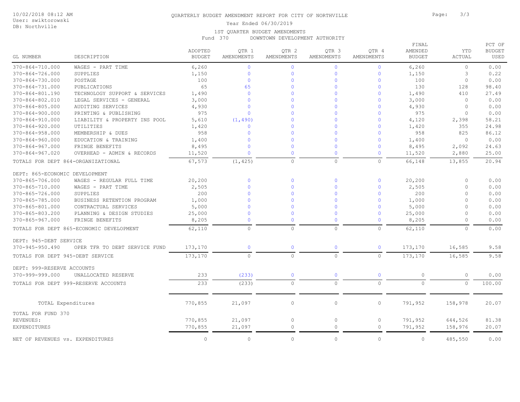## DB: Northville

## QUARTERLY BUDGET AMENDMENT REPORT FOR CITY OF NORTHVILLE **Formulation** Page: 3/3

Year Ended 06/30/2019

#### 1ST QUARTER BUDGET AMENDMENTS

Fund 370 DOWNTOWN DEVELOPMENT AUTHORITY

| GL NUMBER                          | DESCRIPTION                              | ADOPTED<br><b>BUDGET</b> | QTR 1<br>AMENDMENTS | QTR 2<br>AMENDMENTS | QTR 3<br><b>AMENDMENTS</b> | QTR 4<br>AMENDMENTS | FINAL<br>AMENDED<br><b>BUDGET</b> | YTD<br><b>ACTUAL</b> | PCT OF<br><b>BUDGET</b><br>USED |
|------------------------------------|------------------------------------------|--------------------------|---------------------|---------------------|----------------------------|---------------------|-----------------------------------|----------------------|---------------------------------|
| $370 - 864 - 710.000$              | WAGES - PART TIME                        | 6,260                    | $\mathbf{0}$        | $\overline{0}$      | $\overline{0}$             | $\overline{0}$      | 6,260                             | $\circ$              | 0.00                            |
| 370-864-726.000                    | SUPPLIES                                 | 1,150                    | $\mathbf 0$         | $\overline{0}$      | $\mathbf 0$                | $\mathbf 0$         | 1,150                             | 3                    | 0.22                            |
| $370 - 864 - 730.000$              | POSTAGE                                  | 100                      | $\mathbf{0}$        | $\mathbf{0}$        | $\Omega$                   | $\Omega$            | 100                               | $\circ$              | 0.00                            |
| $370 - 864 - 731.000$              | PUBLICATIONS                             | 65                       | 65                  | $\Omega$            | $\Omega$                   | $\Omega$            | 130                               | 128                  | 98.40                           |
| 370-864-801.190                    | TECHNOLOGY SUPPORT & SERVICES            | 1,490                    | $\mathbf{0}$        | $\Omega$            | $\Omega$                   | $\Omega$            | 1,490                             | 410                  | 27.49                           |
| 370-864-802.010                    | LEGAL SERVICES - GENERAL                 | 3,000                    | $\Omega$            | $\Omega$            | $\Omega$                   | $\mathbf{0}$        | 3,000                             | $\circ$              | 0.00                            |
| $370 - 864 - 805.000$              | AUDITING SERVICES                        | 4,930                    | $\Omega$            | $\Omega$            | $\Omega$                   | $\Omega$            | 4,930                             | $\mathbf{0}$         | 0.00                            |
| $370 - 864 - 900.000$              | PRINTING & PUBLISHING                    | 975                      | $\Omega$            | $\Omega$            | $\Omega$                   | $\Omega$            | 975                               | $\Omega$             | 0.00                            |
| 370-864-910.000                    | LIABILITY & PROPERTY INS POOL            | 5,610                    | (1, 490)            | $\Omega$            | $\Omega$                   | $\mathbf{0}$        | 4,120                             | 2,398                | 58.21                           |
| $370 - 864 - 920.000$              | UTILITIES                                | 1,420                    | $\Omega$            | $\Omega$            | $\Omega$                   | $\Omega$            | 1,420                             | 355                  | 24.98                           |
| $370 - 864 - 958.000$              | MEMBERSHIP & DUES                        | 958                      | $\mathbf{0}$        | $\overline{0}$      | $\Omega$                   | $\mathbf{0}$        | 958                               | 825                  | 86.12                           |
| $370 - 864 - 960.000$              | EDUCATION & TRAINING                     | 1,400                    | $\mathbf{0}$        | $\Omega$            | $\Omega$                   | $\Omega$            | 1,400                             | $\circ$              | 0.00                            |
| $370 - 864 - 967.000$              | FRINGE BENEFITS                          | 8,495                    | $\Omega$            | $\Omega$            | $\Omega$                   | $\mathbf{0}$        | 8,495                             | 2,092                | 24.63                           |
| $370 - 864 - 967.020$              | OVERHEAD - ADMIN & RECORDS               | 11,520                   | $\mathbf{0}$        | $\mathbf 0$         | $\Omega$                   | $\mathbf 0$         | 11,520                            | 2,880                | 25.00                           |
| TOTALS FOR DEPT 864-ORGANIZATIONAL |                                          | 67,573                   | (1, 425)            | $\mathbb O$         | $\circ$                    | $\circ$             | 66,148                            | 13,855               | 20.94                           |
| DEPT: 865-ECONOMIC DEVELOPMENT     |                                          |                          |                     |                     |                            |                     |                                   |                      |                                 |
| 370-865-706.000                    | WAGES - REGULAR FULL TIME                | 20,200                   | $\mathbf 0$         | $\overline{0}$      | $\mathbf{O}$               | $\mathbf{0}$        | 20,200                            | $\circ$              | 0.00                            |
| 370-865-710.000                    | WAGES - PART TIME                        | 2,505                    | $\Omega$            | $\Omega$            | $\Omega$                   | $\Omega$            | 2,505                             | $\Omega$             | 0.00                            |
| 370-865-726.000                    | SUPPLIES                                 | 200                      | $\mathbf{0}$        | $\overline{0}$      | $\Omega$                   | $\mathbf{0}$        | 200                               | $\circ$              | 0.00                            |
| 370-865-785.000                    | BUSINESS RETENTION PROGRAM               | 1,000                    | $\mathbf{0}$        | $\Omega$            | $\Omega$                   | $\Omega$            | 1,000                             | $\circ$              | 0.00                            |
| 370-865-801.000                    | CONTRACTUAL SERVICES                     | 5,000                    | $\Omega$            | $\Omega$            | $\Omega$                   | $\Omega$            | 5,000                             | $\circ$              | 0.00                            |
| 370-865-803.200                    | PLANNING & DESIGN STUDIES                | 25,000                   | $\Omega$            | $\mathbf 0$         | $\Omega$                   | $\overline{0}$      | 25,000                            | $\circ$              | 0.00                            |
| $370 - 865 - 967.000$              | FRINGE BENEFITS                          | 8,205                    | $\Omega$            | $\mathbf 0$         | $\Omega$                   | $\Omega$            | 8,205                             | $\circ$              | 0.00                            |
|                                    | TOTALS FOR DEPT 865-ECONOMIC DEVELOPMENT | 62,110                   | $\circ$             | $\circ$             | $\Omega$                   | $\Omega$            | 62,110                            | $\Omega$             | 0.00                            |
| DEPT: 945-DEBT SERVICE             |                                          |                          |                     |                     |                            |                     |                                   |                      |                                 |
| $370 - 945 - 950.490$              | OPER TFR TO DEBT SERVICE FUND            | 173,170                  | $\mathbf 0$         | $\mathbf 0$         | $\mathbf{0}$               | $\mathbf{0}$        | 173,170                           | 16,585               | 9.58                            |
| TOTALS FOR DEPT 945-DEBT SERVICE   |                                          | 173,170                  | $\circ$             | $\circ$             | $\circ$                    | $\circ$             | 173,170                           | 16,585               | 9.58                            |
| DEPT: 999-RESERVE ACCOUNTS         |                                          |                          |                     |                     |                            |                     |                                   |                      |                                 |
| 370-999-999.000                    | UNALLOCATED RESERVE                      | 233                      | (233)               | $\overline{0}$      | $\overline{0}$             | $\overline{0}$      | $\circ$                           | $\circ$              | 0.00                            |
|                                    | TOTALS FOR DEPT 999-RESERVE ACCOUNTS     | 233                      | (233)               | $\circ$             | $\circ$                    | $\circ$             | $\circ$                           | $\circ$              | 100.00                          |
|                                    |                                          |                          |                     |                     |                            |                     |                                   |                      |                                 |
| TOTAL Expenditures                 |                                          | 770,855                  | 21,097              | $\circ$             | $\circ$                    | $\circ$             | 791,952                           | 158,978              | 20.07                           |
| TOTAL FOR FUND 370                 |                                          |                          |                     |                     |                            |                     |                                   |                      |                                 |
| REVENUES:                          |                                          | 770,855                  | 21,097              | $\circ$             | $\circ$                    | $\circ$             | 791,952                           | 644,526              | 81.38                           |
| EXPENDITURES                       |                                          | 770,855                  | 21,097              | $\circ$             | $\circ$                    | $\circ$             | 791,952                           | 158,976              | 20.07                           |
| NET OF REVENUES vs. EXPENDITURES   |                                          | $\Omega$                 | $\Omega$            | $\Omega$            | $\Omega$                   | $\Omega$            | $\Omega$                          | 485,550              | 0.00                            |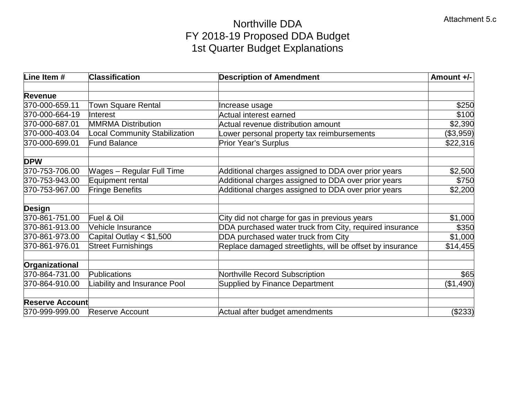# Northville DDA FY 2018-19 Proposed DDA Budget 1st Quarter Budget Explanations

| Line Item #            | <b>Classification</b>            | <b>Description of Amendment</b>                           | Amount +/- |
|------------------------|----------------------------------|-----------------------------------------------------------|------------|
| <b>Revenue</b>         |                                  |                                                           |            |
| 370-000-659.11         | <b>Town Square Rental</b>        | Increase usage                                            | \$250      |
| 370-000-664-19         | Interest                         | <b>Actual interest earned</b>                             | \$100      |
| 370-000-687.01         | <b>MMRMA Distribution</b>        | Actual revenue distribution amount                        | \$2,390    |
| 370-000-403.04         | Local Community Stabilization    | ower personal property tax reimbursements                 | (\$3,959)  |
| 370-000-699.01         | <b>Fund Balance</b>              | <b>Prior Year's Surplus</b>                               | \$22,316   |
| <b>DPW</b>             |                                  |                                                           |            |
| 370-753-706.00         | <b>Wages - Regular Full Time</b> | Additional charges assigned to DDA over prior years       | \$2,500    |
| 370-753-943.00         | Equipment rental                 | Additional charges assigned to DDA over prior years       | \$750      |
| 370-753-967.00         | <b>Fringe Benefits</b>           | Additional charges assigned to DDA over prior years       | \$2,200    |
| <b>Design</b>          |                                  |                                                           |            |
| 370-861-751.00         | Fuel & Oil                       | City did not charge for gas in previous years             | \$1,000    |
| 370-861-913.00         | <b>Vehicle Insurance</b>         | DDA purchased water truck from City, required insurance   | \$350      |
| 370-861-973.00         | Capital Outlay $< $1,500$        | DDA purchased water truck from City                       | \$1,000    |
| 370-861-976.01         | <b>Street Furnishings</b>        | Replace damaged streetlights, will be offset by insurance | \$14,455   |
| Organizational         |                                  |                                                           |            |
| 370-864-731.00         | Publications                     | Northville Record Subscription                            | \$65       |
| 370-864-910.00         | iability and Insurance Pool      | <b>Supplied by Finance Department</b>                     | (\$1,490)  |
| <b>Reserve Account</b> |                                  |                                                           |            |
| 370-999-999.00         | Reserve Account                  | Actual after budget amendments                            | (\$233)    |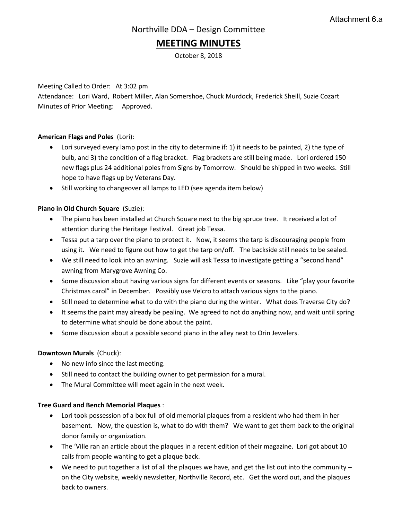# **MEETING MINUTES**

October 8, 2018

Meeting Called to Order: At 3:02 pm

Attendance: Lori Ward, Robert Miller, Alan Somershoe, Chuck Murdock, Frederick Sheill, Suzie Cozart Minutes of Prior Meeting: Approved.

## **American Flags and Poles** (Lori):

- Lori surveyed every lamp post in the city to determine if: 1) it needs to be painted, 2) the type of bulb, and 3) the condition of a flag bracket. Flag brackets are still being made. Lori ordered 150 new flags plus 24 additional poles from Signs by Tomorrow. Should be shipped in two weeks. Still hope to have flags up by Veterans Day.
- Still working to changeover all lamps to LED (see agenda item below)

## **Piano in Old Church Square** (Suzie):

- The piano has been installed at Church Square next to the big spruce tree. It received a lot of attention during the Heritage Festival. Great job Tessa.
- Tessa put a tarp over the piano to protect it. Now, it seems the tarp is discouraging people from using it. We need to figure out how to get the tarp on/off. The backside still needs to be sealed.
- We still need to look into an awning. Suzie will ask Tessa to investigate getting a "second hand" awning from Marygrove Awning Co.
- Some discussion about having various signs for different events or seasons. Like "play your favorite Christmas carol" in December. Possibly use Velcro to attach various signs to the piano.
- Still need to determine what to do with the piano during the winter. What does Traverse City do?
- It seems the paint may already be pealing. We agreed to not do anything now, and wait until spring to determine what should be done about the paint.
- Some discussion about a possible second piano in the alley next to Orin Jewelers.

## **Downtown Murals** (Chuck):

- No new info since the last meeting.
- Still need to contact the building owner to get permission for a mural.
- The Mural Committee will meet again in the next week.

## **Tree Guard and Bench Memorial Plaques** :

- Lori took possession of a box full of old memorial plaques from a resident who had them in her basement. Now, the question is, what to do with them? We want to get them back to the original donor family or organization.
- The 'Ville ran an article about the plaques in a recent edition of their magazine. Lori got about 10 calls from people wanting to get a plaque back.
- We need to put together a list of all the plaques we have, and get the list out into the community on the City website, weekly newsletter, Northville Record, etc. Get the word out, and the plaques back to owners.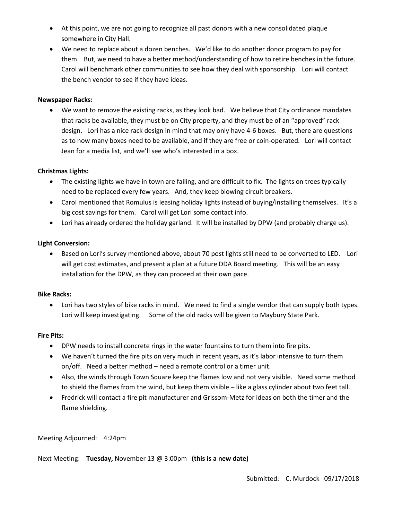- At this point, we are not going to recognize all past donors with a new consolidated plaque somewhere in City Hall.
- We need to replace about a dozen benches. We'd like to do another donor program to pay for them. But, we need to have a better method/understanding of how to retire benches in the future. Carol will benchmark other communities to see how they deal with sponsorship. Lori will contact the bench vendor to see if they have ideas.

## **Newspaper Racks:**

• We want to remove the existing racks, as they look bad. We believe that City ordinance mandates that racks be available, they must be on City property, and they must be of an "approved" rack design. Lori has a nice rack design in mind that may only have 4-6 boxes. But, there are questions as to how many boxes need to be available, and if they are free or coin-operated. Lori will contact Jean for a media list, and we'll see who's interested in a box.

## **Christmas Lights:**

- The existing lights we have in town are failing, and are difficult to fix. The lights on trees typically need to be replaced every few years. And, they keep blowing circuit breakers.
- Carol mentioned that Romulus is leasing holiday lights instead of buying/installing themselves. It's a big cost savings for them. Carol will get Lori some contact info.
- Lori has already ordered the holiday garland. It will be installed by DPW (and probably charge us).

## **Light Conversion:**

• Based on Lori's survey mentioned above, about 70 post lights still need to be converted to LED. Lori will get cost estimates, and present a plan at a future DDA Board meeting. This will be an easy installation for the DPW, as they can proceed at their own pace.

## **Bike Racks:**

• Lori has two styles of bike racks in mind. We need to find a single vendor that can supply both types. Lori will keep investigating. Some of the old racks will be given to Maybury State Park.

## **Fire Pits:**

- DPW needs to install concrete rings in the water fountains to turn them into fire pits.
- We haven't turned the fire pits on very much in recent years, as it's labor intensive to turn them on/off. Need a better method – need a remote control or a timer unit.
- Also, the winds through Town Square keep the flames low and not very visible. Need some method to shield the flames from the wind, but keep them visible – like a glass cylinder about two feet tall.
- Fredrick will contact a fire pit manufacturer and Grissom-Metz for ideas on both the timer and the flame shielding.

## Meeting Adjourned: 4:24pm

Next Meeting: **Tuesday,** November 13 @ 3:00pm **(this is a new date)**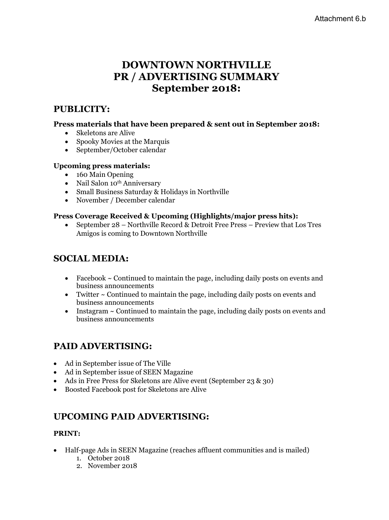# **DOWNTOWN NORTHVILLE PR / ADVERTISING SUMMARY September 2018:**

# **PUBLICITY:**

# **Press materials that have been prepared & sent out in September 2018:**

- Skeletons are Alive
- Spooky Movies at the Marquis
- September/October calendar

# **Upcoming press materials:**

- 160 Main Opening
- Nail Salon 10<sup>th</sup> Anniversary
- Small Business Saturday & Holidays in Northville
- November / December calendar

# **Press Coverage Received & Upcoming (Highlights/major press hits):**

• September 28 – Northville Record & Detroit Free Press – Preview that Los Tres Amigos is coming to Downtown Northville

# **SOCIAL MEDIA:**

- Facebook  $\sim$  Continued to maintain the page, including daily posts on events and business announcements
- Twitter ~ Continued to maintain the page, including daily posts on events and business announcements
- Instagram ~ Continued to maintain the page, including daily posts on events and business announcements

# **PAID ADVERTISING:**

- Ad in September issue of The Ville
- Ad in September issue of SEEN Magazine
- Ads in Free Press for Skeletons are Alive event (September 23 & 30)
- Boosted Facebook post for Skeletons are Alive

# **UPCOMING PAID ADVERTISING:**

# **PRINT:**

- Half-page Ads in SEEN Magazine (reaches affluent communities and is mailed)
	- 1. October 2018
	- 2. November 2018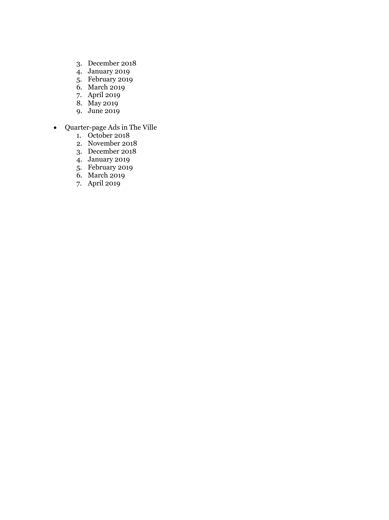- 3. December 2018
- 4. January 2019
- 5. February 2019
- 6. March 2019
- 7. April 2019
- 8. May 2019
- 9. June 2019
- Quarter-page Ads in The Ville
	- 1. October 2018
	- 2. November 2018
	- 3. December 2018
	- 4. January 2019
	- 5. February 2019
	- 6. March 2019
	- 7. April 2019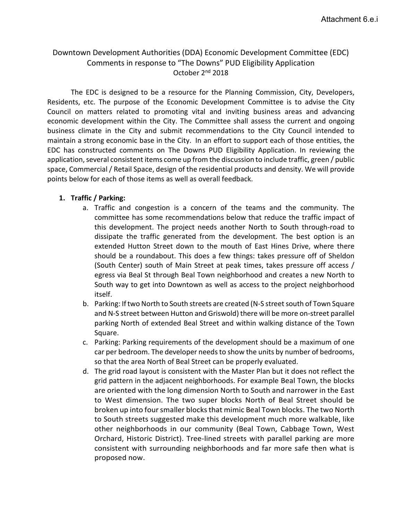# Downtown Development Authorities (DDA) Economic Development Committee (EDC) Comments in response to "The Downs" PUD Eligibility Application October 2nd 2018

The EDC is designed to be a resource for the Planning Commission, City, Developers, Residents, etc. The purpose of the Economic Development Committee is to advise the City Council on matters related to promoting vital and inviting business areas and advancing economic development within the City. The Committee shall assess the current and ongoing business climate in the City and submit recommendations to the City Council intended to maintain a strong economic base in the City. In an effort to support each of those entities, the EDC has constructed comments on The Downs PUD Eligibility Application. In reviewing the application, several consistent items come up from the discussion to include traffic, green / public space, Commercial / Retail Space, design of the residential products and density. We will provide points below for each of those items as well as overall feedback.

# **1. Traffic / Parking:**

- a. Traffic and congestion is a concern of the teams and the community. The committee has some recommendations below that reduce the traffic impact of this development. The project needs another North to South through-road to dissipate the traffic generated from the development. The best option is an extended Hutton Street down to the mouth of East Hines Drive, where there should be a roundabout. This does a few things: takes pressure off of Sheldon (South Center) south of Main Street at peak times, takes pressure off access / egress via Beal St through Beal Town neighborhood and creates a new North to South way to get into Downtown as well as access to the project neighborhood itself.
- b. Parking: If two North to South streets are created (N-S street south of Town Square and N-S street between Hutton and Griswold) there will be more on-street parallel parking North of extended Beal Street and within walking distance of the Town Square.
- c. Parking: Parking requirements of the development should be a maximum of one car per bedroom. The developer needs to show the units by number of bedrooms, so that the area North of Beal Street can be properly evaluated.
- d. The grid road layout is consistent with the Master Plan but it does not reflect the grid pattern in the adjacent neighborhoods. For example Beal Town, the blocks are oriented with the long dimension North to South and narrower in the East to West dimension. The two super blocks North of Beal Street should be broken up into four smaller blocks that mimic Beal Town blocks. The two North to South streets suggested make this development much more walkable, like other neighborhoods in our community (Beal Town, Cabbage Town, West Orchard, Historic District). Tree-lined streets with parallel parking are more consistent with surrounding neighborhoods and far more safe then what is proposed now.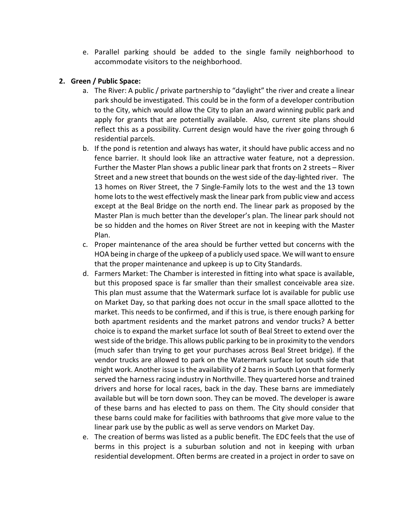e. Parallel parking should be added to the single family neighborhood to accommodate visitors to the neighborhood.

# **2. Green / Public Space:**

- a. The River: A public / private partnership to "daylight" the river and create a linear park should be investigated. This could be in the form of a developer contribution to the City, which would allow the City to plan an award winning public park and apply for grants that are potentially available. Also, current site plans should reflect this as a possibility. Current design would have the river going through 6 residential parcels.
- b. If the pond is retention and always has water, it should have public access and no fence barrier. It should look like an attractive water feature, not a depression. Further the Master Plan shows a public linear park that fronts on 2 streets – River Street and a new street that bounds on the west side of the day-lighted river. The 13 homes on River Street, the 7 Single-Family lots to the west and the 13 town home lots to the west effectively mask the linear park from public view and access except at the Beal Bridge on the north end. The linear park as proposed by the Master Plan is much better than the developer's plan. The linear park should not be so hidden and the homes on River Street are not in keeping with the Master Plan.
- c. Proper maintenance of the area should be further vetted but concerns with the HOA being in charge of the upkeep of a publicly used space. We will want to ensure that the proper maintenance and upkeep is up to City Standards.
- d. Farmers Market: The Chamber is interested in fitting into what space is available, but this proposed space is far smaller than their smallest conceivable area size. This plan must assume that the Watermark surface lot is available for public use on Market Day, so that parking does not occur in the small space allotted to the market. This needs to be confirmed, and if this is true, is there enough parking for both apartment residents and the market patrons and vendor trucks? A better choice is to expand the market surface lot south of Beal Street to extend over the west side of the bridge. This allows public parking to be in proximity to the vendors (much safer than trying to get your purchases across Beal Street bridge). If the vendor trucks are allowed to park on the Watermark surface lot south side that might work. Another issue is the availability of 2 barns in South Lyon that formerly served the harness racing industry in Northville. They quartered horse and trained drivers and horse for local races, back in the day. These barns are immediately available but will be torn down soon. They can be moved. The developer is aware of these barns and has elected to pass on them. The City should consider that these barns could make for facilities with bathrooms that give more value to the linear park use by the public as well as serve vendors on Market Day.
- e. The creation of berms was listed as a public benefit. The EDC feels that the use of berms in this project is a suburban solution and not in keeping with urban residential development. Often berms are created in a project in order to save on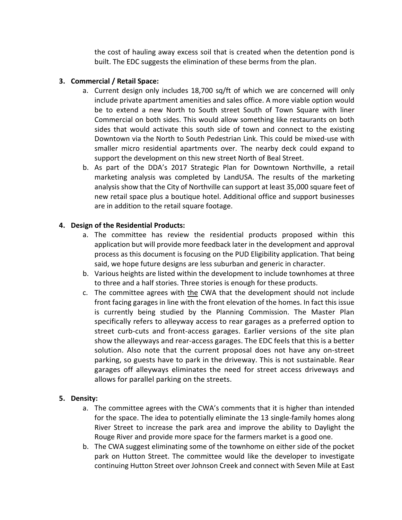the cost of hauling away excess soil that is created when the detention pond is built. The EDC suggests the elimination of these berms from the plan.

# **3. Commercial / Retail Space:**

- a. Current design only includes 18,700 sq/ft of which we are concerned will only include private apartment amenities and sales office. A more viable option would be to extend a new North to South street South of Town Square with liner Commercial on both sides. This would allow something like restaurants on both sides that would activate this south side of town and connect to the existing Downtown via the North to South Pedestrian Link. This could be mixed-use with smaller micro residential apartments over. The nearby deck could expand to support the development on this new street North of Beal Street.
- b. As part of the DDA's 2017 Strategic Plan for Downtown Northville, a retail marketing analysis was completed by LandUSA. The results of the marketing analysis show that the City of Northville can support at least 35,000 square feet of new retail space plus a boutique hotel. Additional office and support businesses are in addition to the retail square footage.

# **4. Design of the Residential Products:**

- a. The committee has review the residential products proposed within this application but will provide more feedback later in the development and approval process as this document is focusing on the PUD Eligibility application. That being said, we hope future designs are less suburban and generic in character.
- b. Various heights are listed within the development to include townhomes at three to three and a half stories. Three stories is enough for these products.
- c. The committee agrees with the CWA that the development should not include front facing garages in line with the front elevation of the homes. In fact this issue is currently being studied by the Planning Commission. The Master Plan specifically refers to alleyway access to rear garages as a preferred option to street curb-cuts and front-access garages. Earlier versions of the site plan show the alleyways and rear-access garages. The EDC feels that this is a better solution. Also note that the current proposal does not have any on-street parking, so guests have to park in the driveway. This is not sustainable. Rear garages off alleyways eliminates the need for street access driveways and allows for parallel parking on the streets.

# **5. Density:**

- a. The committee agrees with the CWA's comments that it is higher than intended for the space. The idea to potentially eliminate the 13 single-family homes along River Street to increase the park area and improve the ability to Daylight the Rouge River and provide more space for the farmers market is a good one.
- b. The CWA suggest eliminating some of the townhome on either side of the pocket park on Hutton Street. The committee would like the developer to investigate continuing Hutton Street over Johnson Creek and connect with Seven Mile at East